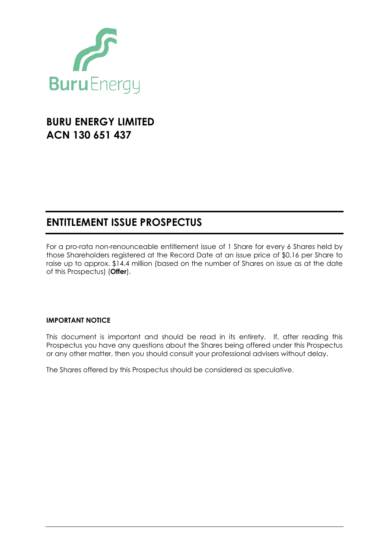

# **BURU ENERGY LIMITED ACN 130 651 437**

# **ENTITLEMENT ISSUE PROSPECTUS**

For a pro-rata non-renounceable entitlement issue of 1 Share for every 6 Shares held by those Shareholders registered at the Record Date at an issue price of \$0.16 per Share to raise up to approx. \$14.4 million (based on the number of Shares on issue as at the date of this Prospectus) (**Offer**).

### **IMPORTANT NOTICE**

This document is important and should be read in its entirety. If, after reading this Prospectus you have any questions about the Shares being offered under this Prospectus or any other matter, then you should consult your professional advisers without delay.

The Shares offered by this Prospectus should be considered as speculative.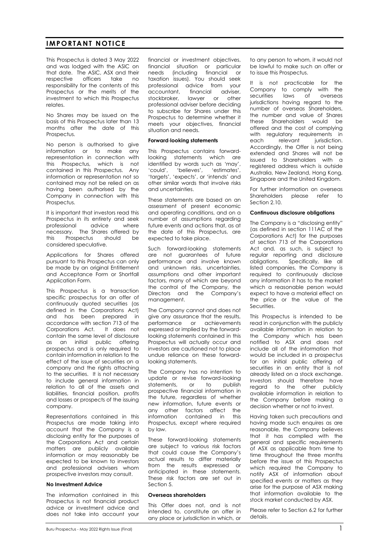#### **IMPORTANT NOTICE**

This Prospectus is dated 3 May 2022 and was lodged with the ASIC on that date. The ASIC, ASX and their respective officers take no responsibility for the contents of this Prospectus or the merits of the investment to which this Prospectus relates.

No Shares may be issued on the basis of this Prospectus later than 13 months after the date of this Prospectus.

No person is authorised to give information or to make any representation in connection with this Prospectus, which is not contained in this Prospectus. Any information or representation not so contained may not be relied on as having been authorised by the Company in connection with this Prospectus.

It is important that investors read this Prospectus in its entirety and seek<br>professional advice where advice where necessary. The Shares offered by this Prospectus should be considered speculative.

Applications for Shares offered pursuant to this Prospectus can only be made by an original Entitlement and Acceptance Form or Shortfall Application Form.

This Prospectus is a transaction specific prospectus for an offer of continuously quoted securities (as defined in the Corporations Act) and has been prepared in accordance with section 713 of the Corporations Act. It does not contain the same level of disclosure as an initial public offering prospectus and is only required to contain information in relation to the effect of the issue of securities on a company and the rights attaching to the securities. It is not necessary to include general information in relation to all of the assets and liabilities, financial position, profits and losses or prospects of the issuing company.

Representations contained in this Prospectus are made taking into account that the Company is a disclosing entity for the purposes of the Corporations Act and certain matters are publicly available information or may reasonably be expected to be known to investors and professional advisers whom prospective investors may consult.

#### **No Investment Advice**

The information contained in this Prospectus is not financial product advice or investment advice and does not take into account your financial or investment objectives, financial situation or particular needs (including financial or taxation issues). You should seek professional advice from your accountant, financial adviser, stockbroker, lawyer or other professional adviser before deciding to subscribe for Shares under this Prospectus to determine whether it meets your objectives, financial situation and needs.

#### **Forward**-**looking statements**

This Prospectus contains forwardlooking statements which are identified by words such as 'may', 'could', 'believes', 'estimates', 'targets', 'expects', or 'intends' and other similar words that involve risks and uncertainties.

These statements are based on an assessment of present economic and operating conditions, and on a number of assumptions regarding future events and actions that, as at the date of this Prospectus, are expected to take place.

Such forward-looking statements are not guarantees of future performance and involve known and unknown risks, uncertainties, assumptions and other important factors, many of which are beyond the control of the Company, the Directors and the Company's management.

The Company cannot and does not give any assurance that the results, performance or achievements expressed or implied by the forwardlooking statements contained in this Prospectus will actually occur and investors are cautioned not to place undue reliance on these forwardlooking statements.

The Company has no intention to update or revise forward-looking statements, or to publish prospective financial information in the future, regardless of whether new information, future events or any other factors affect the information contained in this Prospectus, except where required by law.

These forward-looking statements are subject to various risk factors that could cause the Company's actual results to differ materially from the results expressed or anticipated in these statements. These risk factors are set out in Section [5.](#page-25-0)

#### **Overseas shareholders**

This Offer does not, and is not intended to, constitute an offer in any place or jurisdiction in which, or to any person to whom, it would not be lawful to make such an offer or to issue this Prospectus.

It is not practicable for the Company to comply with the securities laws of overseas jurisdictions having regard to the number of overseas Shareholders, the number and value of Shares these Shareholders would be offered and the cost of complying with regulatory requirements in each relevant jurisdiction. Accordingly, the Offer is not being extended and Shares will not be issued to Shareholders with a registered address which is outside Australia, New Zealand, Hong Kong, Singapore and the United Kingdom.

For further information on overseas Shareholders please refer to Section 2.10

#### **Continuous disclosure obligations**

The Company is a "disclosing entity" (as defined in section 111AC of the Corporations Act) for the purposes of section 713 of the Corporations Act and, as such, is subject to regular reporting and disclosure obligations. Specifically, like all listed companies, the Company is required to continuously disclose any information it has to the market which a reasonable person would expect to have a material effect on the price or the value of the Securities.

This Prospectus is intended to be read in conjunction with the publicly available information in relation to the Company which has been notified to ASX and does not include all of the information that would be included in a prospectus for an initial public offering of securities in an entity that is not already listed on a stock exchange. Investors should therefore have regard to the other publicly available information in relation to the Company before making a decision whether or not to invest.

Having taken such precautions and having made such enquires as are reasonable, the Company believes that it has complied with the general and specific requirements of ASX as applicable from time to time throughout the three months before the issue of this Prospectus which required the Company to notify ASX of information about specified events or matters as they arise for the purpose of ASX making that information available to the stock market conducted by ASX.

Please refer to Section [6.2](#page-36-0) for further details.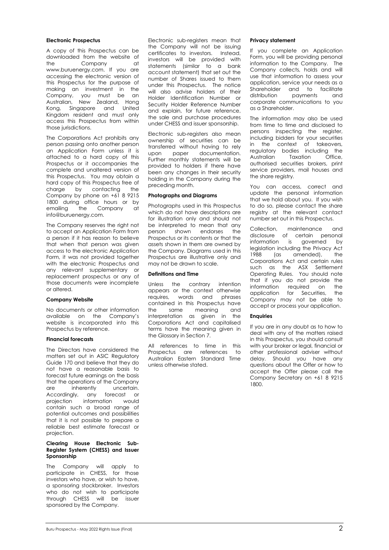#### **Electronic Prospectus**

A copy of this Prospectus can be downloaded from the website of the Company at www.buruenergy.com. If you are accessing the electronic version of this Prospectus for the purpose of making an investment in the Company, you must be an Australian, New Zealand, Hong Kong, Singapore and United Kingdom resident and must only access this Prospectus from within those jurisdictions.

The Corporations Act prohibits any person passing onto another person an Application Form unless it is attached to a hard copy of this Prospectus or it accompanies the complete and unaltered version of this Prospectus. You may obtain a hard copy of this Prospectus free of charge by contacting the Company by phone on +61 8 9215 1800 during office hours or by emailing the Company at info@buruenergy.com.

The Company reserves the right not to accept an Application Form from a person if it has reason to believe that when that person was given access to the electronic Application Form, it was not provided together with the electronic Prospectus and any relevant supplementary or replacement prospectus or any of those documents were incomplete or altered.

#### **Company Website**

No documents or other information available on the Company's website is incorporated into this Prospectus by reference.

#### **Financial forecasts**

The Directors have considered the matters set out in ASIC Regulatory Guide 170 and believe that they do not have a reasonable basis to forecast future earnings on the basis that the operations of the Company are inherently uncertain. Accordingly, any forecast or projection information would contain such a broad range of potential outcomes and possibilities that it is not possible to prepare a reliable best estimate forecast or projection.

#### **Clearing House Electronic Sub-Register System (CHESS) and Issuer Sponsorship**

The Company will apply to participate in CHESS, for those investors who have, or wish to have, a sponsoring stockbroker. Investors who do not wish to participate through CHESS will be issuer sponsored by the Company.

Electronic sub-registers mean that the Company will not be issuing certificates to investors. Instead, investors will be provided with statements (similar to a bank account statement) that set out the number of Shares issued to them under this Prospectus. The notice will also advise holders of their Holder Identification Number or Security Holder Reference Number and explain, for future reference, the sale and purchase procedures under CHESS and issuer sponsorship.

Electronic sub-registers also mean ownership of securities can be transferred without having to rely upon paper documentation. Further monthly statements will be provided to holders if there have been any changes in their security holding in the Company during the preceding month.

#### **Photographs and Diagrams**

Photographs used in this Prospectus which do not have descriptions are for illustration only and should not be interpreted to mean that any person shown endorses the Prospectus or its contents or that the assets shown in them are owned by the Company. Diagrams used in this Prospectus are illustrative only and may not be drawn to scale.

#### **Definitions and Time**

Unless the contrary intention appears or the context otherwise requires, words and phrases contained in this Prospectus have the same meaning and interpretation as given in the Corporations Act and capitalised terms have the meaning given in the Glossary in Section [7.](#page-42-0)

All references to time in this Prospectus are references to Australian Eastern Standard Time unless otherwise stated.

#### **Privacy statement**

If you complete an Application Form, you will be providing personal information to the Company. The Company collects, holds and will use that information to assess your application, service your needs as a Shareholder and to facilitate distribution payments and corporate communications to you as a Shareholder.

The information may also be used from time to time and disclosed to persons inspecting the register, including bidders for your securities in the context of takeovers, regulatory bodies including the Australian Taxation Office, authorised securities brokers, print service providers, mail houses and the share registry.

You can access, correct and update the personal information that we hold about you. If you wish to do so, please contact the share registry at the relevant contact number set out in this Prospectus.

Collection, maintenance and disclosure of certain personal information is governed by legislation including the Privacy Act 1988 (as amended), the Corporations Act and certain rules such as the ASX Settlement Operating Rules. You should note that if you do not provide the information required on the application for Securities, the Company may not be able to accept or process your application.

#### **Enquiries**

If you are in any doubt as to how to deal with any of the matters raised in this Prospectus, you should consult with your broker or legal, financial or other professional adviser without delay. Should you have any questions about the Offer or how to accept the Offer please call the Company Secretary on +61 8 9215 1800.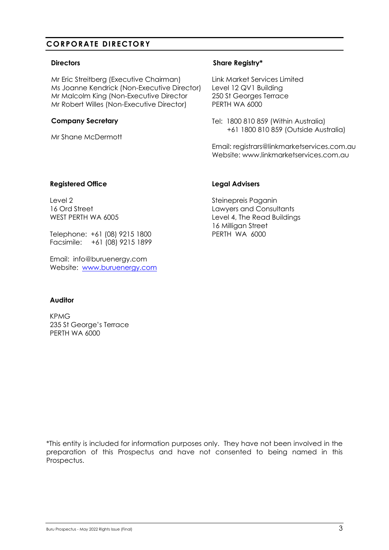## **CORPORATE DIRECTORY**

#### **Directors**

Mr Eric Streitberg (Executive Chairman) Ms Joanne Kendrick (Non-Executive Director) Mr Malcolm King (Non-Executive Director Mr Robert Willes (Non-Executive Director)

#### **Company Secretary**

Mr Shane McDermott

### **Share Registry\***

Link Market Services Limited Level 12 QV1 Building 250 St Georges Terrace PERTH WA 6000

Tel: 1800 810 859 (Within Australia) +61 1800 810 859 (Outside Australia)

Email: registrars@linkmarketservices.com.au Website: www.linkmarketservices.com.au

#### **Registered Office**

Level 2 16 Ord Street WEST PERTH WA 6005

Telephone: +61 (08) 9215 1800 Facsimile: +61 (08) 9215 1899

Email: info@buruenergy.com Website: [www.buruenergy.com](http://www.buruenergy.com/)

#### **Legal Advisers**

Steinepreis Paganin Lawyers and Consultants Level 4, The Read Buildings 16 Milligan Street PERTH WA 6000

### **Auditor**

KPMG 235 St George's Terrace PERTH WA 6000

\*This entity is included for information purposes only. They have not been involved in the preparation of this Prospectus and have not consented to being named in this Prospectus.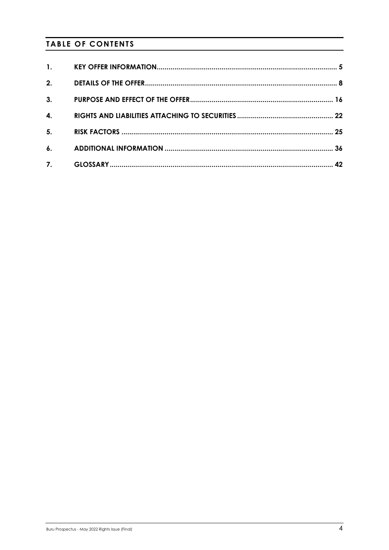# **TABLE OF CONTENTS**

| $\mathbf{1}$ . |  |
|----------------|--|
| 2.             |  |
| 3.             |  |
| 4.             |  |
| 5 <sub>1</sub> |  |
| $\mathbf{6}$ . |  |
| 7.             |  |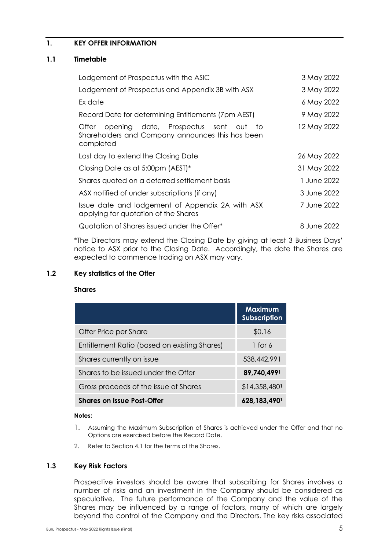### <span id="page-5-0"></span>**1. KEY OFFER INFORMATION**

#### **1.1 Timetable**

| Lodgement of Prospectus with the ASIC                                                                          | 3 May 2022  |
|----------------------------------------------------------------------------------------------------------------|-------------|
| Lodgement of Prospectus and Appendix 3B with ASX                                                               | 3 May 2022  |
| Ex date                                                                                                        | 6 May 2022  |
| Record Date for determining Entitlements (7pm AEST)                                                            | 9 May 2022  |
| opening date, Prospectus sent out to<br>Otter<br>Shareholders and Company announces this has been<br>completed | 12 May 2022 |
| Last day to extend the Closing Date                                                                            | 26 May 2022 |
| Closing Date as at 5:00pm (AEST)*                                                                              | 31 May 2022 |
| Shares quoted on a deferred settlement basis                                                                   | 1 June 2022 |
| ASX notified of under subscriptions (if any)                                                                   | 3 June 2022 |
| Issue date and lodgement of Appendix 2A with ASX<br>applying for quotation of the Shares                       | 7 June 2022 |
| Quotation of Shares issued under the Offer*                                                                    | 8 June 2022 |

\*The Directors may extend the Closing Date by giving at least 3 Business Days' notice to ASX prior to the Closing Date. Accordingly, the date the Shares are expected to commence trading on ASX may vary.

#### **1.2 Key statistics of the Offer**

#### **Shares**

|                                              | <b>Maximum</b><br><b>Subscription</b> |
|----------------------------------------------|---------------------------------------|
| Offer Price per Share                        | \$0.16                                |
| Entitlement Ratio (based on existing Shares) | 1 for $6$                             |
| Shares currently on issue                    | 538,442,991                           |
| Shares to be issued under the Offer          | 89,740,4991                           |
| Gross proceeds of the issue of Shares        | $$14,358,480$ <sup>1</sup>            |
| <b>Shares on issue Post-Offer</b>            | 628,183,4901                          |

#### **Notes:**

- 1. Assuming the Maximum Subscription of Shares is achieved under the Offer and that no Options are exercised before the Record Date.
- 2. Refer to Section 4.1 for the terms of the Shares.

#### **1.3 Key Risk Factors**

Prospective investors should be aware that subscribing for Shares involves a number of risks and an investment in the Company should be considered as speculative. The future performance of the Company and the value of the Shares may be influenced by a range of factors, many of which are largely beyond the control of the Company and the Directors. The key risks associated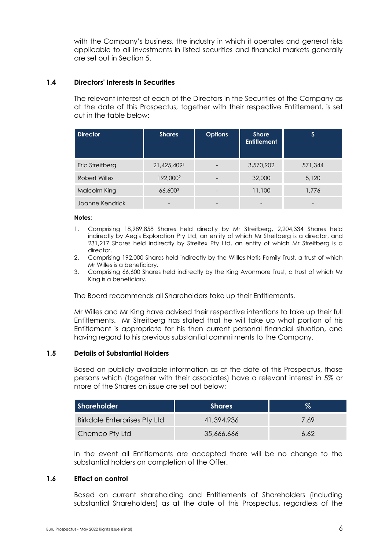with the Company's business, the industry in which it operates and general risks applicable to all investments in listed securities and financial markets generally are set out in Section 5.

### <span id="page-6-0"></span>**1.4 Directors' Interests in Securities**

The relevant interest of each of the Directors in the Securities of the Company as at the date of this Prospectus, together with their respective Entitlement, is set out in the table below:

| <b>Director</b> | <b>Shares</b>        | <b>Options</b> | <b>Share</b><br><b>Entitlement</b> |         |
|-----------------|----------------------|----------------|------------------------------------|---------|
| Eric Streitberg | 21,425,4091          |                | 3,570,902                          | 571,344 |
| Robert Willes   | 192,000 <sup>2</sup> |                | 32,000                             | 5,120   |
| Malcolm King    | 66,6003              |                | 11,100                             | 1,776   |
| Joanne Kendrick |                      |                |                                    |         |

#### **Notes:**

- 1. Comprising 18,989,858 Shares held directly by Mr Streitberg, 2,204,334 Shares held indirectly by Aegis Exploration Pty Ltd, an entity of which Mr Streitberg is a director, and 231,217 Shares held indirectly by Streitex Pty Ltd, an entity of which Mr Streitberg is a director.
- 2. Comprising 192,000 Shares held indirectly by the Willles Netis Family Trust, a trust of which Mr Willes is a beneficiary.
- 3. Comprising 66,600 Shares held indirectly by the King Avonmore Trust, a trust of which Mr King is a beneficiary.

The Board recommends all Shareholders take up their Entitlements.

Mr Willes and Mr King have advised their respective intentions to take up their full Entitlements. Mr Streitberg has stated that he will take up what portion of his Entitlement is appropriate for his then current personal financial situation, and having regard to his previous substantial commitments to the Company.

#### **1.5 Details of Substantial Holders**

Based on publicly available information as at the date of this Prospectus, those persons which (together with their associates) have a relevant interest in 5% or more of the Shares on issue are set out below:

| Shareholder                         | <b>Shares</b> | $\%$ |
|-------------------------------------|---------------|------|
| <b>Birkdale Enterprises Pty Ltd</b> | 41.394.936    | 7.69 |
| Chemco Pty Ltd                      | 35,666,666    | 6.62 |

In the event all Entitlements are accepted there will be no change to the substantial holders on completion of the Offer.

#### **1.6 Effect on control**

Based on current shareholding and Entitlements of Shareholders (including substantial Shareholders) as at the date of this Prospectus, regardless of the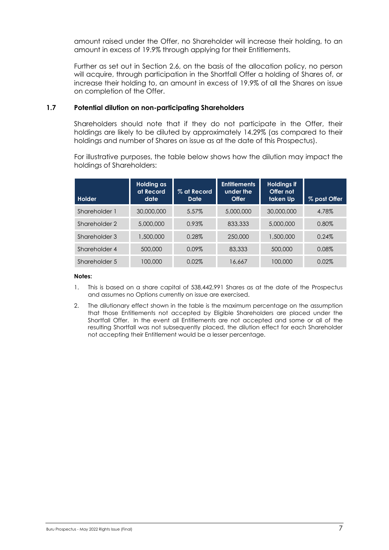amount raised under the Offer, no Shareholder will increase their holding, to an amount in excess of 19.9% through applying for their Entitlements.

Further as set out in Section [2.6,](#page-11-0) on the basis of the allocation policy, no person will acquire, through participation in the Shortfall Offer a holding of Shares of, or increase their holding to, an amount in excess of 19.9% of all the Shares on issue on completion of the Offer.

#### **1.7 Potential dilution on non-participating Shareholders**

Shareholders should note that if they do not participate in the Offer, their holdings are likely to be diluted by approximately 14.29% (as compared to their holdings and number of Shares on issue as at the date of this Prospectus).

For illustrative purposes, the table below shows how the dilution may impact the holdings of Shareholders:

| <b>Holder</b> | Holding as<br>at Record<br>date | % at Record<br>Date | <b>Entitlements</b><br>under the<br><b>Offer</b> | <b>Holdings if</b><br>Offer not<br>taken Up | % post Offer |
|---------------|---------------------------------|---------------------|--------------------------------------------------|---------------------------------------------|--------------|
| Shareholder 1 | 30,000,000                      | 5.57%               | 5,000,000                                        | 30,000,000                                  | 4.78%        |
| Shareholder 2 | 5,000,000                       | 0.93%               | 833,333                                          | 5,000,000                                   | 0.80%        |
| Shareholder 3 | 1,500,000                       | 0.28%               | 250,000                                          | 1,500,000                                   | 0.24%        |
| Shareholder 4 | 500,000                         | $0.09\%$            | 83,333                                           | 500,000                                     | 0.08%        |
| Shareholder 5 | 100,000                         | 0.02%               | 16,667                                           | 100,000                                     | 0.02%        |

#### **Notes:**

- 1. This is based on a share capital of 538,442,991 Shares as at the date of the Prospectus and assumes no Options currently on issue are exercised.
- 2. The dilutionary effect shown in the table is the maximum percentage on the assumption that those Entitlements not accepted by Eligible Shareholders are placed under the Shortfall Offer. In the event all Entitlements are not accepted and some or all of the resulting Shortfall was not subsequently placed, the dilution effect for each Shareholder not accepting their Entitlement would be a lesser percentage.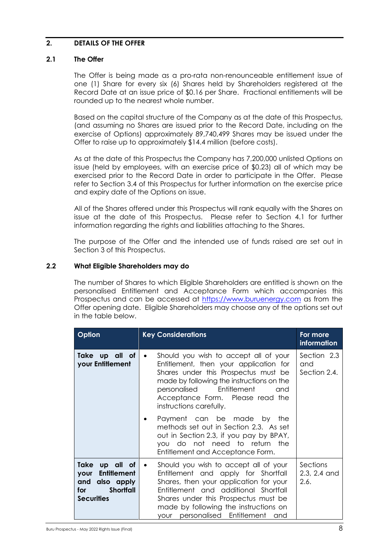#### <span id="page-8-0"></span>**2. DETAILS OF THE OFFER**

#### **2.1 The Offer**

The Offer is being made as a pro-rata non-renounceable entitlement issue of one (1) Share for every six (6) Shares held by Shareholders registered at the Record Date at an issue price of \$0.16 per Share. Fractional entitlements will be rounded up to the nearest whole number.

Based on the capital structure of the Company as at the date of this Prospectus, (and assuming no Shares are issued prior to the Record Date, including on the exercise of Options) approximately 89,740,499 Shares may be issued under the Offer to raise up to approximately \$14.4 million (before costs).

As at the date of this Prospectus the Company has 7,200,000 unlisted Options on issue (held by employees, with an exercise price of \$0.23) all of which may be exercised prior to the Record Date in order to participate in the Offer. Please refer to Section [3.4](#page-19-0) of this Prospectus for further information on the exercise price and expiry date of the Options on issue.

All of the Shares offered under this Prospectus will rank equally with the Shares on issue at the date of this Prospectus. Please refer to Section [4.1](#page-22-1) for further information regarding the rights and liabilities attaching to the Shares.

The purpose of the Offer and the intended use of funds raised are set out in Section [3](#page-16-0) of this Prospectus.

#### **2.2 What Eligible Shareholders may do**

The number of Shares to which Eligible Shareholders are entitled is shown on the personalised Entitlement and Acceptance Form which accompanies this Prospectus and can be accessed at [https://www.buruenergy.com](https://www.buruenergy.com/) as from the Offer opening date. Eligible Shareholders may choose any of the options set out in the table below.

| <b>Option</b>                                                                                                  | <b>Key Considerations</b>                                                                                                                                                                                                                                                                            | For more<br>information            |
|----------------------------------------------------------------------------------------------------------------|------------------------------------------------------------------------------------------------------------------------------------------------------------------------------------------------------------------------------------------------------------------------------------------------------|------------------------------------|
| Take up all of<br>your Entitlement                                                                             | Should you wish to accept all of your<br>$\bullet$<br>Entitlement, then your application for<br>Shares under this Prospectus must be<br>made by following the instructions on the<br>Entitlement<br>personalised<br>and<br>Acceptance Form. Please read the<br>instructions carefully.               | Section 2.3<br>and<br>Section 2.4. |
|                                                                                                                | Payment can be made by the<br>methods set out in Section 2.3. As set<br>out in Section 2.3, if you pay by BPAY,<br>you do not need to return the<br>Entitlement and Acceptance Form.                                                                                                                 |                                    |
| Take up all of<br><b>Entitlement</b><br>your<br>and also apply<br><b>Shortfall</b><br>for<br><b>Securities</b> | Should you wish to accept all of your<br>$\bullet$<br>Entitlement and apply for Shortfall<br>Shares, then your application for your<br>Entitlement and additional Shortfall<br>Shares under this Prospectus must be<br>made by following the instructions on<br>your personalised Entitlement<br>and | Sections<br>2.3, 2.4 and<br>2.6.   |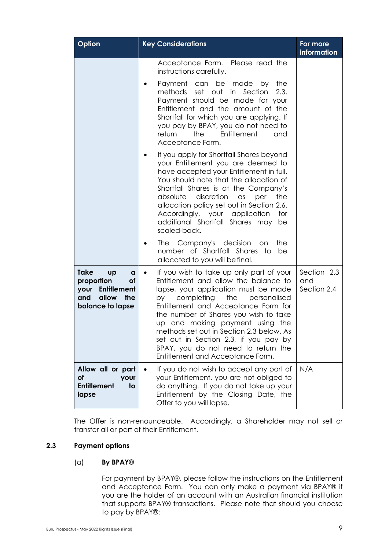| Option                                                                                                           | <b>Key Considerations</b>                                                                                                                                                                                                                                                                                                                                                                                                                                | For more<br>information           |
|------------------------------------------------------------------------------------------------------------------|----------------------------------------------------------------------------------------------------------------------------------------------------------------------------------------------------------------------------------------------------------------------------------------------------------------------------------------------------------------------------------------------------------------------------------------------------------|-----------------------------------|
|                                                                                                                  | Acceptance Form. Please read the<br>instructions carefully.                                                                                                                                                                                                                                                                                                                                                                                              |                                   |
|                                                                                                                  | Payment can be made<br>by<br>the<br>methods<br>set<br>out<br>Section<br>in<br>2.3.<br>Payment should be made for your<br>Entitlement and the amount of the<br>Shortfall for which you are applying. If<br>you pay by BPAY, you do not need to<br>return<br>the<br>Entitlement<br>and<br>Acceptance Form.                                                                                                                                                 |                                   |
|                                                                                                                  | If you apply for Shortfall Shares beyond<br>your Entitlement you are deemed to<br>have accepted your Entitlement in full.<br>You should note that the allocation of<br>Shortfall Shares is at the Company's<br>discretion<br>absolute<br>$\alpha$ s<br>per<br>the<br>allocation policy set out in Section 2.6.<br>Accordingly, your application<br>for<br>additional Shortfall Shares may<br>be<br>scaled-back.                                          |                                   |
|                                                                                                                  | The Company's decision<br>the<br><b>on</b><br>number of Shortfall Shares<br>to<br>be<br>allocated to you will be final.                                                                                                                                                                                                                                                                                                                                  |                                   |
| <b>Take</b><br><b>up</b><br>a<br>proportion<br>Οf<br>your Entitlement<br>allow<br>the<br>and<br>balance to lapse | If you wish to take up only part of your<br>٠<br>Entitlement and allow the balance to<br>lapse, your application must be made<br>completing the<br>personalised<br>by<br>Entitlement and Acceptance Form for<br>the number of Shares you wish to take<br>up and making payment using the<br>methods set out in Section 2.3 below. As<br>set out in Section 2.3, if you pay by<br>BPAY, you do not need to return the<br>Entitlement and Acceptance Form. | Section 2.3<br>and<br>Section 2.4 |
| Allow all or part<br>оf<br>your<br><b>Entitlement</b><br>to<br>lapse                                             | If you do not wish to accept any part of<br>your Entitlement, you are not obliged to<br>do anything. If you do not take up your<br>Entitlement by the Closing Date, the<br>Offer to you will lapse.                                                                                                                                                                                                                                                      | N/A                               |

The Offer is non-renounceable. Accordingly, a Shareholder may not sell or transfer all or part of their Entitlement.

### <span id="page-9-0"></span>**2.3 Payment options**

### (a) **By BPAY®**

For payment by BPAY®, please follow the instructions on the Entitlement and Acceptance Form. You can only make a payment via BPAY® if you are the holder of an account with an Australian financial institution that supports BPAY® transactions. Please note that should you choose to pay by BPAY®: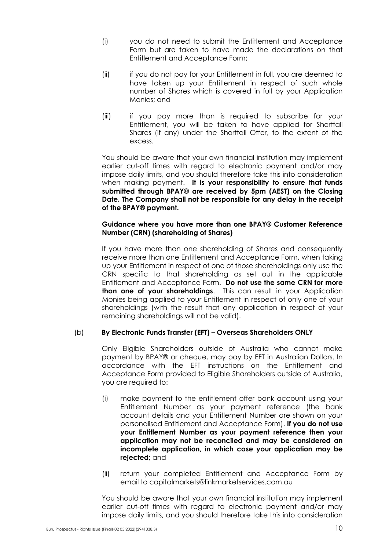- (i) you do not need to submit the Entitlement and Acceptance Form but are taken to have made the declarations on that Entitlement and Acceptance Form;
- (ii) if you do not pay for your Entitlement in full, you are deemed to have taken up your Entitlement in respect of such whole number of Shares which is covered in full by your Application Monies; and
- (iii) if you pay more than is required to subscribe for your Entitlement, you will be taken to have applied for Shortfall Shares (if any) under the Shortfall Offer, to the extent of the excess.

You should be aware that your own financial institution may implement earlier cut-off times with regard to electronic payment and/or may impose daily limits, and you should therefore take this into consideration when making payment. **It is your responsibility to ensure that funds submitted through BPAY® are received by 5pm (AEST) on the Closing Date. The Company shall not be responsible for any delay in the receipt of the BPAY® payment.**

### **Guidance where you have more than one BPAY® Customer Reference Number (CRN) (shareholding of Shares)**

If you have more than one shareholding of Shares and consequently receive more than one Entitlement and Acceptance Form, when taking up your Entitlement in respect of one of those shareholdings only use the CRN specific to that shareholding as set out in the applicable Entitlement and Acceptance Form. **Do not use the same CRN for more than one of your shareholdings**. This can result in your Application Monies being applied to your Entitlement in respect of only one of your shareholdings (with the result that any application in respect of your remaining shareholdings will not be valid).

### (b) **By Electronic Funds Transfer (EFT) – Overseas Shareholders ONLY**

Only Eligible Shareholders outside of Australia who cannot make payment by BPAY® or cheque, may pay by EFT in Australian Dollars. In accordance with the EFT instructions on the Entitlement and Acceptance Form provided to Eligible Shareholders outside of Australia, you are required to:

- (i) make payment to the entitlement offer bank account using your Entitlement Number as your payment reference (the bank account details and your Entitlement Number are shown on your personalised Entitlement and Acceptance Form). **If you do not use your Entitlement Number as your payment reference then your application may not be reconciled and may be considered an incomplete application, in which case your application may be rejected;** and
- (ii) return your completed Entitlement and Acceptance Form by email to capitalmarkets@linkmarketservices.com.au

You should be aware that your own financial institution may implement earlier cut-off times with regard to electronic payment and/or may impose daily limits, and you should therefore take this into consideration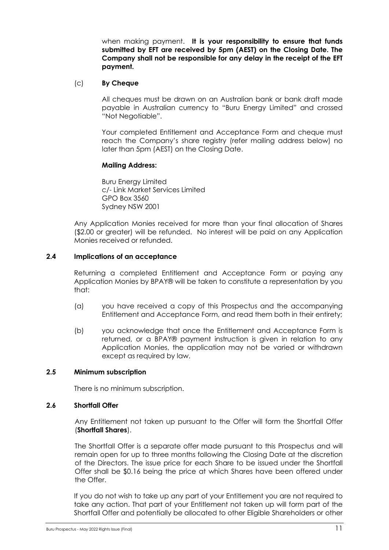when making payment. **It is your responsibility to ensure that funds submitted by EFT are received by 5pm (AEST) on the Closing Date. The Company shall not be responsible for any delay in the receipt of the EFT payment.**

### (c) **By Cheque**

All cheques must be drawn on an Australian bank or bank draft made payable in Australian currency to "Buru Energy Limited" and crossed "Not Negotiable".

Your completed Entitlement and Acceptance Form and cheque must reach the Company's share registry (refer mailing address below) no later than 5pm (AEST) on the Closing Date.

#### **Mailing Address:**

Buru Energy Limited c/- Link Market Services Limited GPO Box 3560 Sydney NSW 2001

Any Application Monies received for more than your final allocation of Shares (\$2.00 or greater) will be refunded. No interest will be paid on any Application Monies received or refunded.

#### <span id="page-11-1"></span>**2.4 Implications of an acceptance**

Returning a completed Entitlement and Acceptance Form or paying any Application Monies by BPAY® will be taken to constitute a representation by you that:

- (a) you have received a copy of this Prospectus and the accompanying Entitlement and Acceptance Form, and read them both in their entirety;
- (b) you acknowledge that once the Entitlement and Acceptance Form is returned, or a BPAY® payment instruction is given in relation to any Application Monies, the application may not be varied or withdrawn except as required by law.

#### **2.5 Minimum subscription**

There is no minimum subscription.

#### <span id="page-11-0"></span>**2.6 Shortfall Offer**

Any Entitlement not taken up pursuant to the Offer will form the Shortfall Offer (**Shortfall Shares**).

The Shortfall Offer is a separate offer made pursuant to this Prospectus and will remain open for up to three months following the Closing Date at the discretion of the Directors. The issue price for each Share to be issued under the Shortfall Offer shall be \$0.16 being the price at which Shares have been offered under the Offer.

If you do not wish to take up any part of your Entitlement you are not required to take any action. That part of your Entitlement not taken up will form part of the Shortfall Offer and potentially be allocated to other Eligible Shareholders or other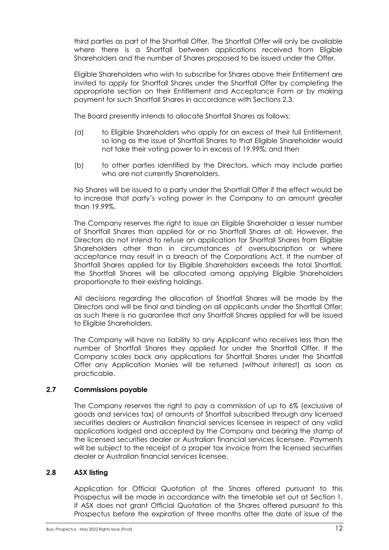third parties as part of the Shortfall Offer. The Shortfall Offer will only be available where there is a Shortfall between applications received from Eligible Shareholders and the number of Shares proposed to be issued under the Offer.

Eligible Shareholders who wish to subscribe for Shares above their Entitlement are invited to apply for Shortfall Shares under the Shortfall Offer by completing the appropriate section on their Entitlement and Acceptance Form or by making payment for such Shortfall Shares in accordance with Sections [2.3.](#page-9-0)

The Board presently intends to allocate Shortfall Shares as follows:

- (a) to Eligible Shareholders who apply for an excess of their full Entitlement, so long as the issue of Shortfall Shares to that Eligible Shareholder would not take their voting power to in excess of 19.99%; and then
- (b) to other parties identified by the Directors, which may include parties who are not currently Shareholders.

No Shares will be issued to a party under the Shortfall Offer if the effect would be to increase that party's voting power in the Company to an amount greater than 19.99%.

The Company reserves the right to issue an Eligible Shareholder a lesser number of Shortfall Shares than applied for or no Shortfall Shares at all. However, the Directors do not intend to refuse an application for Shortfall Shares from Eligible Shareholders other than in circumstances of oversubscription or where acceptance may result in a breach of the Corporations Act. If the number of Shortfall Shares applied for by Eligible Shareholders exceeds the total Shortfall, the Shortfall Shares will be allocated among applying Eligible Shareholders proportionate to their existing holdings.

All decisions regarding the allocation of Shortfall Shares will be made by the Directors and will be final and binding on all applicants under the Shortfall Offer; as such there is no guarantee that any Shortfall Shares applied for will be issued to Eligible Shareholders.

The Company will have no liability to any Applicant who receives less than the number of Shortfall Shares they applied for under the Shortfall Offer. If the Company scales back any applications for Shortfall Shares under the Shortfall Offer any Application Monies will be returned (without interest) as soon as practicable.

### **2.7 Commissions payable**

The Company reserves the right to pay a commission of up to 6% (exclusive of goods and services tax) of amounts of Shortfall subscribed through any licensed securities dealers or Australian financial services licensee in respect of any valid applications lodged and accepted by the Company and bearing the stamp of the licensed securities dealer or Australian financial services licensee. Payments will be subject to the receipt of a proper tax invoice from the licensed securities dealer or Australian financial services licensee.

### **2.8 ASX listing**

Application for Official Quotation of the Shares offered pursuant to this Prospectus will be made in accordance with the timetable set out at Section 1. If ASX does not grant Official Quotation of the Shares offered pursuant to this Prospectus before the expiration of three months after the date of issue of the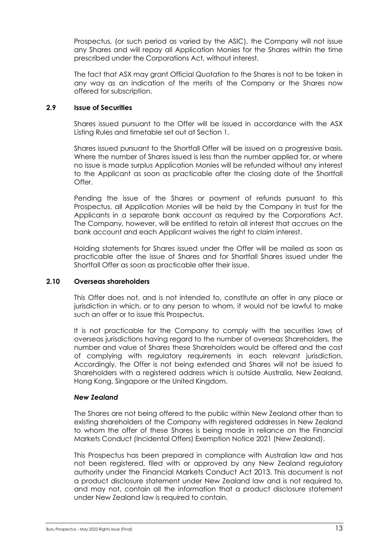Prospectus, (or such period as varied by the ASIC), the Company will not issue any Shares and will repay all Application Monies for the Shares within the time prescribed under the Corporations Act, without interest.

The fact that ASX may grant Official Quotation to the Shares is not to be taken in any way as an indication of the merits of the Company or the Shares now offered for subscription.

### **2.9 Issue of Securities**

Shares issued pursuant to the Offer will be issued in accordance with the ASX Listing Rules and timetable set out at Section 1.

Shares issued pursuant to the Shortfall Offer will be issued on a progressive basis. Where the number of Shares issued is less than the number applied for, or where no issue is made surplus Application Monies will be refunded without any interest to the Applicant as soon as practicable after the closing date of the Shortfall Offer.

Pending the issue of the Shares or payment of refunds pursuant to this Prospectus, all Application Monies will be held by the Company in trust for the Applicants in a separate bank account as required by the Corporations Act. The Company, however, will be entitled to retain all interest that accrues on the bank account and each Applicant waives the right to claim interest.

Holding statements for Shares issued under the Offer will be mailed as soon as practicable after the issue of Shares and for Shortfall Shares issued under the Shortfall Offer as soon as practicable after their issue.

#### <span id="page-13-0"></span>**2.10 Overseas shareholders**

This Offer does not, and is not intended to, constitute an offer in any place or jurisdiction in which, or to any person to whom, it would not be lawful to make such an offer or to issue this Prospectus.

It is not practicable for the Company to comply with the securities laws of overseas jurisdictions having regard to the number of overseas Shareholders, the number and value of Shares these Shareholders would be offered and the cost of complying with regulatory requirements in each relevant jurisdiction. Accordingly, the Offer is not being extended and Shares will not be issued to Shareholders with a registered address which is outside Australia, New Zealand, Hong Kong, Singapore or the United Kingdom.

#### *New Zealand*

The Shares are not being offered to the public within New Zealand other than to existing shareholders of the Company with registered addresses in New Zealand to whom the offer of these Shares is being made in reliance on the Financial Markets Conduct (Incidental Offers) Exemption Notice 2021 (New Zealand).

This Prospectus has been prepared in compliance with Australian law and has not been registered, filed with or approved by any New Zealand regulatory authority under the Financial Markets Conduct Act 2013. This document is not a product disclosure statement under New Zealand law and is not required to, and may not, contain all the information that a product disclosure statement under New Zealand law is required to contain.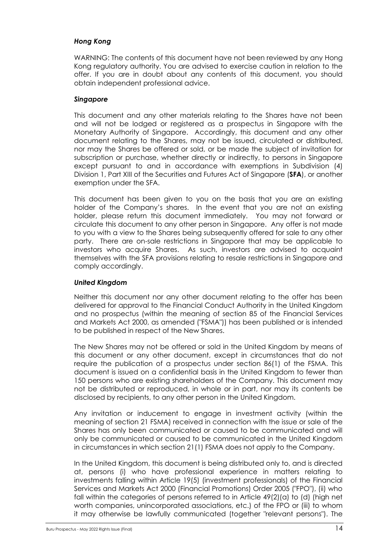### *Hong Kong*

WARNING: The contents of this document have not been reviewed by any Hong Kong regulatory authority. You are advised to exercise caution in relation to the offer. If you are in doubt about any contents of this document, you should obtain independent professional advice.

### *Singapore*

This document and any other materials relating to the Shares have not been and will not be lodged or registered as a prospectus in Singapore with the Monetary Authority of Singapore. Accordingly, this document and any other document relating to the Shares, may not be issued, circulated or distributed, nor may the Shares be offered or sold, or be made the subject of invitation for subscription or purchase, whether directly or indirectly, to persons in Singapore except pursuant to and in accordance with exemptions in Subdivision (4) Division 1, Part XIII of the Securities and Futures Act of Singapore (**SFA**), or another exemption under the SFA.

This document has been given to you on the basis that you are an existing holder of the Company's shares. In the event that you are not an existing holder, please return this document immediately. You may not forward or circulate this document to any other person in Singapore. Any offer is not made to you with a view to the Shares being subsequently offered for sale to any other party. There are on-sale restrictions in Singapore that may be applicable to investors who acquire Shares. As such, investors are advised to acquaint themselves with the SFA provisions relating to resale restrictions in Singapore and comply accordingly.

#### *United Kingdom*

Neither this document nor any other document relating to the offer has been delivered for approval to the Financial Conduct Authority in the United Kingdom and no prospectus (within the meaning of section 85 of the Financial Services and Markets Act 2000, as amended ("FSMA")) has been published or is intended to be published in respect of the New Shares.

The New Shares may not be offered or sold in the United Kingdom by means of this document or any other document, except in circumstances that do not require the publication of a prospectus under section 86(1) of the FSMA. This document is issued on a confidential basis in the United Kingdom to fewer than 150 persons who are existing shareholders of the Company. This document may not be distributed or reproduced, in whole or in part, nor may its contents be disclosed by recipients, to any other person in the United Kingdom.

Any invitation or inducement to engage in investment activity (within the meaning of section 21 FSMA) received in connection with the issue or sale of the Shares has only been communicated or caused to be communicated and will only be communicated or caused to be communicated in the United Kingdom in circumstances in which section 21(1) FSMA does not apply to the Company.

In the United Kingdom, this document is being distributed only to, and is directed at, persons (i) who have professional experience in matters relating to investments falling within Article 19(5) (investment professionals) of the Financial Services and Markets Act 2000 (Financial Promotions) Order 2005 ("FPO"), (ii) who fall within the categories of persons referred to in Article 49(2)(a) to (d) (high net worth companies, unincorporated associations, etc.) of the FPO or (iii) to whom it may otherwise be lawfully communicated (together "relevant persons"). The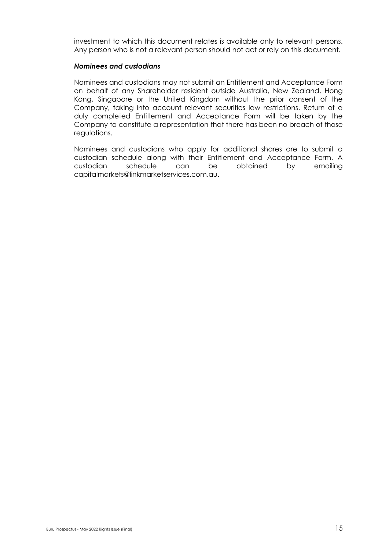investment to which this document relates is available only to relevant persons. Any person who is not a relevant person should not act or rely on this document.

#### *Nominees and custodians*

Nominees and custodians may not submit an Entitlement and Acceptance Form on behalf of any Shareholder resident outside Australia, New Zealand, Hong Kong, Singapore or the United Kingdom without the prior consent of the Company, taking into account relevant securities law restrictions. Return of a duly completed Entitlement and Acceptance Form will be taken by the Company to constitute a representation that there has been no breach of those regulations.

Nominees and custodians who apply for additional shares are to submit a custodian schedule along with their Entitlement and Acceptance Form. A custodian schedule can be obtained by emailing capitalmarkets@linkmarketservices.com.au.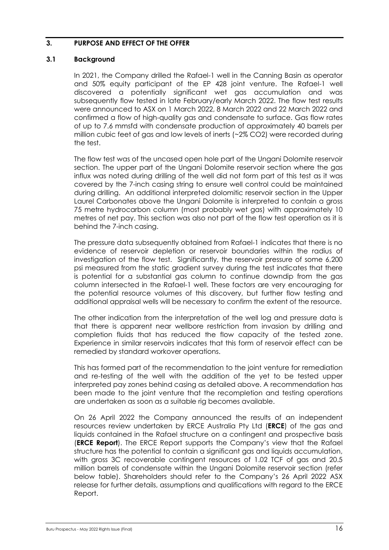### <span id="page-16-0"></span>**3. PURPOSE AND EFFECT OF THE OFFER**

### **3.1 Background**

In 2021, the Company drilled the Rafael-1 well in the Canning Basin as operator and 50% equity participant of the EP 428 joint venture. The Rafael-1 well discovered a potentially significant wet gas accumulation and was subsequently flow tested in late February/early March 2022. The flow test results were announced to ASX on 1 March 2022, 8 March 2022 and 22 March 2022 and confirmed a flow of high-quality gas and condensate to surface. Gas flow rates of up to 7.6 mmsfd with condensate production of approximately 40 barrels per million cubic feet of gas and low levels of inerts (~2% CO2) were recorded during the test.

The flow test was of the uncased open hole part of the Ungani Dolomite reservoir section. The upper part of the Ungani Dolomite reservoir section where the gas influx was noted during drilling of the well did not form part of this test as it was covered by the 7-inch casing string to ensure well control could be maintained during drilling. An additional interpreted dolomitic reservoir section in the Upper Laurel Carbonates above the Ungani Dolomite is interpreted to contain a gross 75 metre hydrocarbon column (most probably wet gas) with approximately 10 metres of net pay. This section was also not part of the flow test operation as it is behind the 7-inch casing.

The pressure data subsequently obtained from Rafael-1 indicates that there is no evidence of reservoir depletion or reservoir boundaries within the radius of investigation of the flow test. Significantly, the reservoir pressure of some 6,200 psi measured from the static gradient survey during the test indicates that there is potential for a substantial gas column to continue downdip from the gas column intersected in the Rafael-1 well. These factors are very encouraging for the potential resource volumes of this discovery, but further flow testing and additional appraisal wells will be necessary to confirm the extent of the resource.

The other indication from the interpretation of the well log and pressure data is that there is apparent near wellbore restriction from invasion by drilling and completion fluids that has reduced the flow capacity of the tested zone. Experience in similar reservoirs indicates that this form of reservoir effect can be remedied by standard workover operations.

This has formed part of the recommendation to the joint venture for remediation and re-testing of the well with the addition of the yet to be tested upper interpreted pay zones behind casing as detailed above. A recommendation has been made to the joint venture that the recompletion and testing operations are undertaken as soon as a suitable rig becomes available.

On 26 April 2022 the Company announced the results of an independent resources review undertaken by ERCE Australia Pty Ltd (**ERCE**) of the gas and liquids contained in the Rafael structure on a contingent and prospective basis (**ERCE Report**). The ERCE Report supports the Company's view that the Rafael structure has the potential to contain a significant gas and liquids accumulation, with gross 3C recoverable contingent resources of 1.02 TCF of gas and 20.5 million barrels of condensate within the Ungani Dolomite reservoir section (refer below table). Shareholders should refer to the Company's 26 April 2022 ASX release for further details, assumptions and qualifications with regard to the ERCE Report.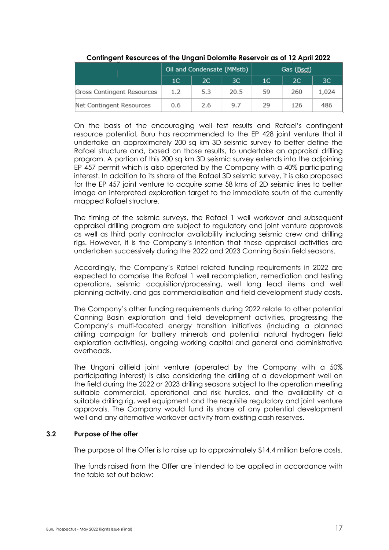|                            | Oil and Condensate (MMstb) |               |      | Gas (Bscf)     |     |       |
|----------------------------|----------------------------|---------------|------|----------------|-----|-------|
|                            | 1C                         | <sub>2C</sub> | 3C   | 1 <sup>C</sup> | 2C  | 3C    |
| Gross Contingent Resources | 1.2                        | 5.3           | 20.5 | 59             | 260 | 1,024 |
| Net Contingent Resources   | 0.6                        | 2.6           | 9.7  | 29             | 126 | 486   |

#### **Contingent Resources of the Ungani Dolomite Reservoir as of 12 April 2022**

On the basis of the encouraging well test results and Rafael's contingent resource potential, Buru has recommended to the EP 428 joint venture that it undertake an approximately 200 sq km 3D seismic survey to better define the Rafael structure and, based on those results, to undertake an appraisal drilling program. A portion of this 200 sq km 3D seismic survey extends into the adjoining EP 457 permit which is also operated by the Company with a 40% participating interest. In addition to its share of the Rafael 3D seismic survey, it is also proposed for the EP 457 joint venture to acquire some 58 kms of 2D seismic lines to better image an interpreted exploration target to the immediate south of the currently mapped Rafael structure.

The timing of the seismic surveys, the Rafael 1 well workover and subsequent appraisal drilling program are subject to regulatory and joint venture approvals as well as third party contractor availability including seismic crew and drilling rigs. However, it is the Company's intention that these appraisal activities are undertaken successively during the 2022 and 2023 Canning Basin field seasons.

Accordingly, the Company's Rafael related funding requirements in 2022 are expected to comprise the Rafael 1 well recompletion, remediation and testing operations, seismic acquisition/processing, well long lead items and well planning activity, and gas commercialisation and field development study costs.

The Company's other funding requirements during 2022 relate to other potential Canning Basin exploration and field development activities, progressing the Company's multi-faceted energy transition initiatives (including a planned drilling campaign for battery minerals and potential natural hydrogen field exploration activities), ongoing working capital and general and administrative overheads.

The Ungani oilfield joint venture (operated by the Company with a 50% participating interest) is also considering the drilling of a development well on the field during the 2022 or 2023 drilling seasons subject to the operation meeting suitable commercial, operational and risk hurdles, and the availability of a suitable drilling rig, well equipment and the requisite regulatory and joint venture approvals. The Company would fund its share of any potential development well and any alternative workover activity from existing cash reserves.

### **3.2 Purpose of the offer**

The purpose of the Offer is to raise up to approximately \$14.4 million before costs.

The funds raised from the Offer are intended to be applied in accordance with the table set out below: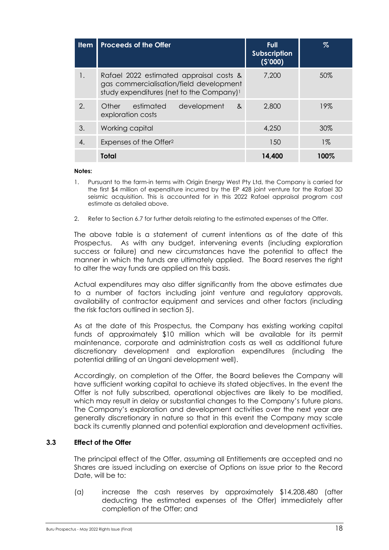| <b>Item</b>           | <b>Proceeds of the Offer</b>                                                                                                               | <b>Full</b><br><b>Subscription</b><br>(S'000) | $\%$  |
|-----------------------|--------------------------------------------------------------------------------------------------------------------------------------------|-----------------------------------------------|-------|
| 1.                    | Rafael 2022 estimated appraisal costs &<br>gas commercialisation/field development<br>study expenditures (net to the Company) <sup>1</sup> | 7,200                                         | 50%   |
| $\mathcal{P}_{\cdot}$ | estimated<br>Other<br>development<br>$\&$<br>exploration costs                                                                             | 2,800                                         | 19%   |
| 3.                    | Working capital                                                                                                                            | 4,250                                         | 30%   |
| 4.                    | Expenses of the Offer <sup>2</sup>                                                                                                         | 150                                           | $1\%$ |
|                       | Total                                                                                                                                      | 14,400                                        | 100%  |

#### **Notes:**

- 1. Pursuant to the farm-in terms with Origin Energy West Pty Ltd, the Company is carried for the first \$4 million of expenditure incurred by the EP 428 joint venture for the Rafael 3D seismic acquisition. This is accounted for in this 2022 Rafael appraisal program cost estimate as detailed above.
- 2. Refer to Section [6.7](#page-40-0) for further details relating to the estimated expenses of the Offer.

The above table is a statement of current intentions as of the date of this Prospectus. As with any budget, intervening events (including exploration success or failure) and new circumstances have the potential to affect the manner in which the funds are ultimately applied. The Board reserves the right to alter the way funds are applied on this basis.

Actual expenditures may also differ significantly from the above estimates due to a number of factors including joint venture and regulatory approvals, availability of contractor equipment and services and other factors (including the risk factors outlined in section 5).

As at the date of this Prospectus, the Company has existing working capital funds of approximately \$10 million which will be available for its permit maintenance, corporate and administration costs as well as additional future discretionary development and exploration expenditures (including the potential drilling of an Ungani development well).

Accordingly, on completion of the Offer, the Board believes the Company will have sufficient working capital to achieve its stated objectives. In the event the Offer is not fully subscribed, operational objectives are likely to be modified, which may result in delay or substantial changes to the Company's future plans. The Company's exploration and development activities over the next year are generally discretionary in nature so that in this event the Company may scale back its currently planned and potential exploration and development activities.

#### **3.3 Effect of the Offer**

The principal effect of the Offer, assuming all Entitlements are accepted and no Shares are issued including on exercise of Options on issue prior to the Record Date, will be to:

(a) increase the cash reserves by approximately \$14,208,480 (after deducting the estimated expenses of the Offer) immediately after completion of the Offer; and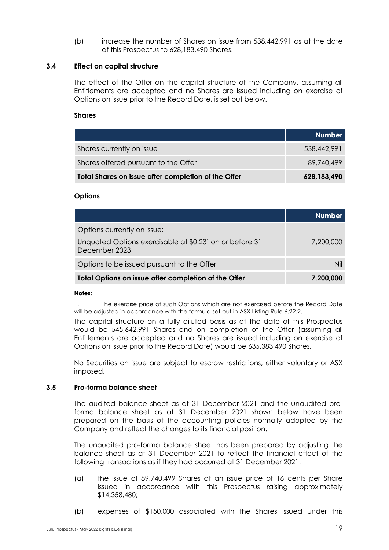(b) increase the number of Shares on issue from 538,442,991 as at the date of this Prospectus to 628,183,490 Shares.

#### <span id="page-19-0"></span>**3.4 Effect on capital structure**

The effect of the Offer on the capital structure of the Company, assuming all Entitlements are accepted and no Shares are issued including on exercise of Options on issue prior to the Record Date, is set out below.

#### **Shares**

|                                                     | <b>Number</b> |
|-----------------------------------------------------|---------------|
| Shares currently on issue                           | 538,442,991   |
| Shares offered pursuant to the Offer                | 89,740,499    |
| Total Shares on issue after completion of the Offer | 628,183,490   |

#### **Options**

|                                                                                      | <b>Number</b> |
|--------------------------------------------------------------------------------------|---------------|
| Options currently on issue:                                                          |               |
| Unquoted Options exercisable at \$0.23 <sup>1</sup> on or before 31<br>December 2023 | 7,200,000     |
| Options to be issued pursuant to the Offer                                           | Nil           |
| Total Options on issue after completion of the Offer                                 | 7,200,000     |

#### **Notes:**

1. The exercise price of such Options which are not exercised before the Record Date will be adjusted in accordance with the formula set out in ASX Listing Rule 6.22.2.

The capital structure on a fully diluted basis as at the date of this Prospectus would be 545,642,991 Shares and on completion of the Offer (assuming all Entitlements are accepted and no Shares are issued including on exercise of Options on issue prior to the Record Date) would be 635,383,490 Shares.

No Securities on issue are subject to escrow restrictions, either voluntary or ASX imposed.

#### <span id="page-19-1"></span>**3.5 Pro-forma balance sheet**

The audited balance sheet as at 31 December 2021 and the unaudited proforma balance sheet as at 31 December 2021 shown below have been prepared on the basis of the accounting policies normally adopted by the Company and reflect the changes to its financial position.

The unaudited pro-forma balance sheet has been prepared by adjusting the balance sheet as at 31 December 2021 to reflect the financial effect of the following transactions as if they had occurred at 31 December 2021:

- (a) the issue of 89,740,499 Shares at an issue price of 16 cents per Share issued in accordance with this Prospectus raising approximately \$14,358,480;
- (b) expenses of \$150,000 associated with the Shares issued under this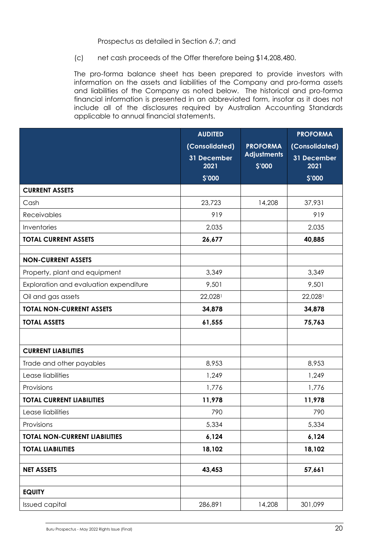#### Prospectus as detailed in Section 6.7; and

(c) net cash proceeds of the Offer therefore being \$14,208,480.

The pro-forma balance sheet has been prepared to provide investors with information on the assets and liabilities of the Company and pro-forma assets and liabilities of the Company as noted below. The historical and pro-forma financial information is presented in an abbreviated form, insofar as it does not include all of the disclosures required by Australian Accounting Standards applicable to annual financial statements.

|                                        | <b>AUDITED</b>      |                              | <b>PROFORMA</b>     |
|----------------------------------------|---------------------|------------------------------|---------------------|
|                                        | (Consolidated)      | <b>PROFORMA</b>              | (Consolidated)      |
|                                        | 31 December<br>2021 | <b>Adjustments</b><br>\$'000 | 31 December<br>2021 |
|                                        | \$'000              |                              | \$'000              |
| <b>CURRENT ASSETS</b>                  |                     |                              |                     |
| Cash                                   | 23,723              | 14,208                       | 37,931              |
| Receivables                            | 919                 |                              | 919                 |
| Inventories                            | 2,035               |                              | 2.035               |
| <b>TOTAL CURRENT ASSETS</b>            | 26,677              |                              | 40,885              |
|                                        |                     |                              |                     |
| <b>NON-CURRENT ASSETS</b>              |                     |                              |                     |
| Property, plant and equipment          | 3,349               |                              | 3,349               |
| Exploration and evaluation expenditure | 9,501               |                              | 9,501               |
| Oil and gas assets                     | 22,0281             |                              | 22,028              |
| <b>TOTAL NON-CURRENT ASSETS</b>        | 34,878              |                              | 34,878              |
| <b>TOTAL ASSETS</b>                    | 61,555              |                              | 75,763              |
|                                        |                     |                              |                     |
| <b>CURRENT LIABILITIES</b>             |                     |                              |                     |
| Trade and other payables               | 8,953               |                              | 8,953               |
| Lease liabilities                      | 1,249               |                              | 1,249               |
| Provisions                             | 1,776               |                              | 1,776               |
| <b>TOTAL CURRENT LIABILITIES</b>       | 11,978              |                              | 11,978              |
| Lease liabilities                      | 790                 |                              | 790                 |
| Provisions                             | 5,334               |                              | 5,334               |
| <b>TOTAL NON-CURRENT LIABILITIES</b>   | 6,124               |                              | 6,124               |
| <b>TOTAL LIABILITIES</b>               | 18,102              |                              | 18,102              |
| <b>NET ASSETS</b>                      | 43,453              |                              | 57,661              |
|                                        |                     |                              |                     |
| <b>EQUITY</b>                          |                     |                              |                     |
| <b>Issued capital</b>                  | 286,891             | 14,208                       | 301,099             |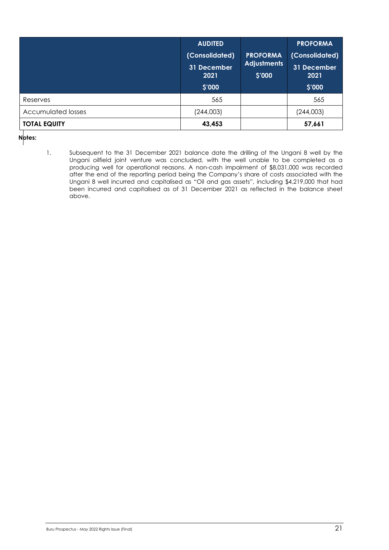|                           | <b>AUDITED</b><br>(Consolidated)<br>31 December<br>2021<br>\$'000 | <b>PROFORMA</b><br><b>Adjustments</b><br>\$'000 | <b>PROFORMA</b><br>(Consolidated)<br>31 December<br>2021<br>\$'000 |
|---------------------------|-------------------------------------------------------------------|-------------------------------------------------|--------------------------------------------------------------------|
| Reserves                  | 565                                                               |                                                 | 565                                                                |
| <b>Accumulated losses</b> | (244,003)                                                         |                                                 | (244,003)                                                          |
| <b>TOTAL EQUITY</b>       | 43,453                                                            |                                                 | 57,661                                                             |

**Notes:**

1. Subsequent to the 31 December 2021 balance date the drilling of the Ungani 8 well by the Ungani oilfield joint venture was concluded, with the well unable to be completed as a producing well for operational reasons. A non-cash impairment of \$8,031,000 was recorded after the end of the reporting period being the Company's share of costs associated with the Ungani 8 well incurred and capitalised as "Oil and gas assets", including \$4,219,000 that had been incurred and capitalised as of 31 December 2021 as reflected in the balance sheet above.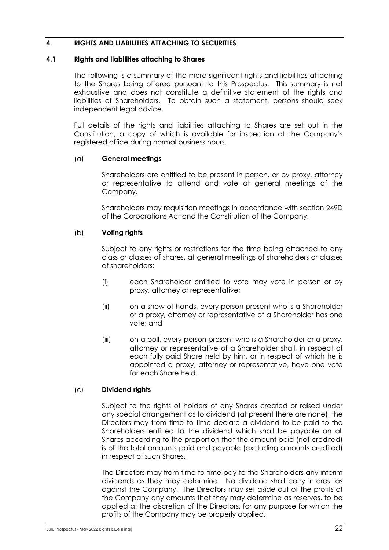### <span id="page-22-0"></span>**4. RIGHTS AND LIABILITIES ATTACHING TO SECURITIES**

#### <span id="page-22-1"></span>**4.1 Rights and liabilities attaching to Shares**

The following is a summary of the more significant rights and liabilities attaching to the Shares being offered pursuant to this Prospectus. This summary is not exhaustive and does not constitute a definitive statement of the rights and liabilities of Shareholders. To obtain such a statement, persons should seek independent legal advice.

Full details of the rights and liabilities attaching to Shares are set out in the Constitution, a copy of which is available for inspection at the Company's registered office during normal business hours.

#### (a) **General meetings**

Shareholders are entitled to be present in person, or by proxy, attorney or representative to attend and vote at general meetings of the Company.

Shareholders may requisition meetings in accordance with section 249D of the Corporations Act and the Constitution of the Company.

#### (b) **Voting rights**

Subject to any rights or restrictions for the time being attached to any class or classes of shares, at general meetings of shareholders or classes of shareholders:

- (i) each Shareholder entitled to vote may vote in person or by proxy, attorney or representative;
- (ii) on a show of hands, every person present who is a Shareholder or a proxy, attorney or representative of a Shareholder has one vote; and
- (iii) on a poll, every person present who is a Shareholder or a proxy, attorney or representative of a Shareholder shall, in respect of each fully paid Share held by him, or in respect of which he is appointed a proxy, attorney or representative, have one vote for each Share held.

#### (c) **Dividend rights**

Subject to the rights of holders of any Shares created or raised under any special arrangement as to dividend (at present there are none), the Directors may from time to time declare a dividend to be paid to the Shareholders entitled to the dividend which shall be payable on all Shares according to the proportion that the amount paid (not credited) is of the total amounts paid and payable (excluding amounts credited) in respect of such Shares.

The Directors may from time to time pay to the Shareholders any interim dividends as they may determine. No dividend shall carry interest as against the Company. The Directors may set aside out of the profits of the Company any amounts that they may determine as reserves, to be applied at the discretion of the Directors, for any purpose for which the profits of the Company may be properly applied.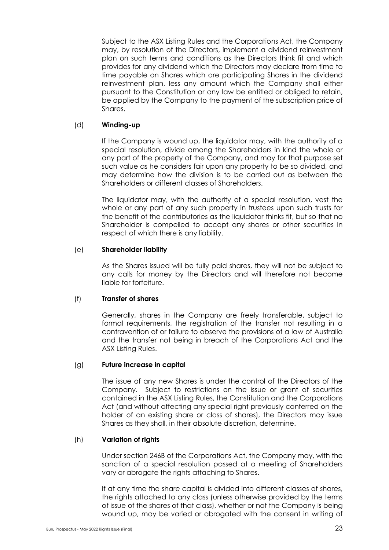Subject to the ASX Listing Rules and the Corporations Act, the Company may, by resolution of the Directors, implement a dividend reinvestment plan on such terms and conditions as the Directors think fit and which provides for any dividend which the Directors may declare from time to time payable on Shares which are participating Shares in the dividend reinvestment plan, less any amount which the Company shall either pursuant to the Constitution or any law be entitled or obliged to retain, be applied by the Company to the payment of the subscription price of Shares.

### (d) **Winding-up**

If the Company is wound up, the liquidator may, with the authority of a special resolution, divide among the Shareholders in kind the whole or any part of the property of the Company, and may for that purpose set such value as he considers fair upon any property to be so divided, and may determine how the division is to be carried out as between the Shareholders or different classes of Shareholders.

The liquidator may, with the authority of a special resolution, vest the whole or any part of any such property in trustees upon such trusts for the benefit of the contributories as the liquidator thinks fit, but so that no Shareholder is compelled to accept any shares or other securities in respect of which there is any liability.

### (e) **Shareholder liability**

As the Shares issued will be fully paid shares, they will not be subject to any calls for money by the Directors and will therefore not become liable for forfeiture.

#### (f) **Transfer of shares**

Generally, shares in the Company are freely transferable, subject to formal requirements, the registration of the transfer not resulting in a contravention of or failure to observe the provisions of a law of Australia and the transfer not being in breach of the Corporations Act and the ASX Listing Rules.

### (g) **Future increase in capital**

The issue of any new Shares is under the control of the Directors of the Company. Subject to restrictions on the issue or grant of securities contained in the ASX Listing Rules, the Constitution and the Corporations Act (and without affecting any special right previously conferred on the holder of an existing share or class of shares), the Directors may issue Shares as they shall, in their absolute discretion, determine.

#### (h) **Variation of rights**

Under section 246B of the Corporations Act, the Company may, with the sanction of a special resolution passed at a meeting of Shareholders vary or abrogate the rights attaching to Shares.

If at any time the share capital is divided into different classes of shares, the rights attached to any class (unless otherwise provided by the terms of issue of the shares of that class), whether or not the Company is being wound up, may be varied or abrogated with the consent in writing of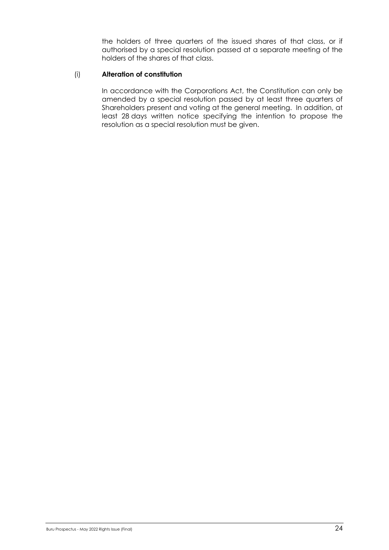the holders of three quarters of the issued shares of that class, or if authorised by a special resolution passed at a separate meeting of the holders of the shares of that class.

#### (i) **Alteration of constitution**

In accordance with the Corporations Act, the Constitution can only be amended by a special resolution passed by at least three quarters of Shareholders present and voting at the general meeting. In addition, at least 28 days written notice specifying the intention to propose the resolution as a special resolution must be given.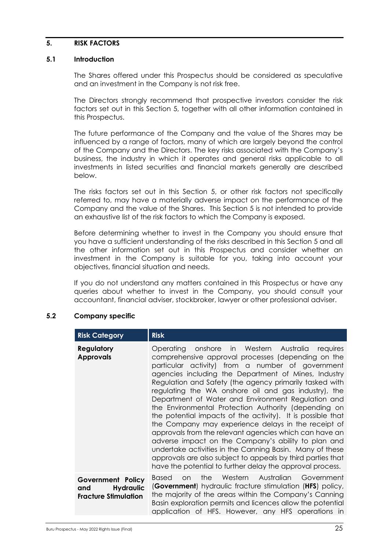#### <span id="page-25-0"></span>**5. RISK FACTORS**

#### **5.1 Introduction**

The Shares offered under this Prospectus should be considered as speculative and an investment in the Company is not risk free.

The Directors strongly recommend that prospective investors consider the risk factors set out in this Section 5, together with all other information contained in this Prospectus.

The future performance of the Company and the value of the Shares may be influenced by a range of factors, many of which are largely beyond the control of the Company and the Directors. The key risks associated with the Company's business, the industry in which it operates and general risks applicable to all investments in listed securities and financial markets generally are described below.

The risks factors set out in this Section 5, or other risk factors not specifically referred to, may have a materially adverse impact on the performance of the Company and the value of the Shares. This Section 5 is not intended to provide an exhaustive list of the risk factors to which the Company is exposed.

Before determining whether to invest in the Company you should ensure that you have a sufficient understanding of the risks described in this Section 5 and all the other information set out in this Prospectus and consider whether an investment in the Company is suitable for you, taking into account your objectives, financial situation and needs.

If you do not understand any matters contained in this Prospectus or have any queries about whether to invest in the Company, you should consult your accountant, financial adviser, stockbroker, lawyer or other professional adviser.

#### **5.2 Company specific**

| <b>Risk Category</b>                                                        | <b>Risk</b>                                                                                                                                                                                                                                                                                                                                                                                                                                                                                                                                                                                                                                                                                                                                                                                                                                                                       |
|-----------------------------------------------------------------------------|-----------------------------------------------------------------------------------------------------------------------------------------------------------------------------------------------------------------------------------------------------------------------------------------------------------------------------------------------------------------------------------------------------------------------------------------------------------------------------------------------------------------------------------------------------------------------------------------------------------------------------------------------------------------------------------------------------------------------------------------------------------------------------------------------------------------------------------------------------------------------------------|
| <b>Regulatory</b><br><b>Approvals</b>                                       | Operating onshore in Western Australia requires<br>comprehensive approval processes (depending on the<br>particular activity) from a number of government<br>agencies including the Department of Mines, Industry<br>Regulation and Safety (the agency primarily tasked with<br>regulating the WA onshore oil and gas industry), the<br>Department of Water and Environment Regulation and<br>the Environmental Protection Authority (depending on<br>the potential impacts of the activity). It is possible that<br>the Company may experience delays in the receipt of<br>approvals from the relevant agencies which can have an<br>adverse impact on the Company's ability to plan and<br>undertake activities in the Canning Basin. Many of these<br>approvals are also subject to appeals by third parties that<br>have the potential to further delay the approval process. |
| Government Policy<br><b>Hydraulic</b><br>and<br><b>Fracture Stimulation</b> | the Western Australian Government<br>Based<br>$\Omega$<br>(Government) hydraulic fracture stimulation (HFS) policy,<br>the majority of the areas within the Company's Canning<br>Basin exploration permits and licences allow the potential<br>application of HFS. However, any HFS operations in                                                                                                                                                                                                                                                                                                                                                                                                                                                                                                                                                                                 |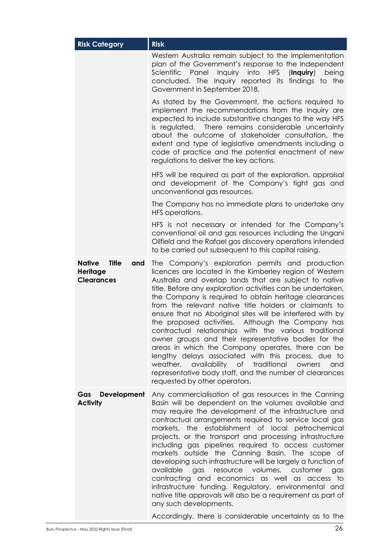| <b>Risk Category</b>                                           | <b>Risk</b>                                                                                                                                                                                                                                                                                                                                                                                                                                                                                                                                                                                                                                                                                                                                                                                                                                                      |
|----------------------------------------------------------------|------------------------------------------------------------------------------------------------------------------------------------------------------------------------------------------------------------------------------------------------------------------------------------------------------------------------------------------------------------------------------------------------------------------------------------------------------------------------------------------------------------------------------------------------------------------------------------------------------------------------------------------------------------------------------------------------------------------------------------------------------------------------------------------------------------------------------------------------------------------|
|                                                                | Western Australia remain subject to the implementation<br>plan of the Government's response to the Independent<br>Inquiry into<br><b>HFS</b><br><i>Scientific</i><br>Panel<br>$($ lnquiry $)$<br>being<br>concluded. The Inquiry reported its findings to the<br>Government in September 2018.                                                                                                                                                                                                                                                                                                                                                                                                                                                                                                                                                                   |
|                                                                | As stated by the Government, the actions required to<br>implement the recommendations from the Inquiry are<br>expected to include substantive changes to the way HFS<br>is regulated. There remains considerable uncertainty<br>about the outcome of stakeholder consultation, the<br>extent and type of legislative amendments including a<br>code of practice and the potential enactment of new<br>regulations to deliver the key actions.                                                                                                                                                                                                                                                                                                                                                                                                                    |
|                                                                | HFS will be required as part of the exploration, appraisal<br>and development of the Company's tight gas and<br>unconventional gas resources.                                                                                                                                                                                                                                                                                                                                                                                                                                                                                                                                                                                                                                                                                                                    |
|                                                                | The Company has no immediate plans to undertake any<br>HFS operations.                                                                                                                                                                                                                                                                                                                                                                                                                                                                                                                                                                                                                                                                                                                                                                                           |
|                                                                | HFS is not necessary or intended for the Company's<br>conventional oil and gas resources including the Ungani<br>Oilfield and the Rafael gas discovery operations intended<br>to be carried out subsequent to this capital raising.                                                                                                                                                                                                                                                                                                                                                                                                                                                                                                                                                                                                                              |
| <b>Title</b><br>Native<br>and<br>Heritage<br><b>Clearances</b> | The Company's exploration permits and production<br>licences are located in the Kimberley region of Western<br>Australia and overlap lands that are subject to native<br>title. Before any exploration activities can be undertaken,<br>the Company is required to obtain heritage clearances<br>from the relevant native title holders or claimants to<br>ensure that no Aboriginal sites will be interfered with by<br>the proposed activities.<br>Although the Company has<br>contractual relationships with the various traditional<br>owner groups and their representative bodies for the<br>areas in which the Company operates, there can be<br>lengthy delays associated with this process, due to<br>weather, availability of traditional<br>owners<br>and<br>representative body staff, and the number of clearances<br>requested by other operators. |
| Development<br>Gas<br><b>Activity</b>                          | Any commercialisation of gas resources in the Canning<br>Basin will be dependent on the volumes available and<br>may require the development of the infrastructure and<br>contractual arrangements required to service local gas<br>markets, the establishment of local petrochemical<br>projects, or the transport and processing infrastructure<br>including gas pipelines required to access customer<br>markets outside the Canning Basin. The scope of<br>developing such infrastructure will be largely a function of<br>gas resource volumes, customer<br>available<br>gas<br>contracting and economics as well as access to<br>infrastructure funding. Regulatory, environmental and<br>native title approvals will also be a requirement as part of<br>any such developments.                                                                           |
|                                                                | Accordingly, there is considerable uncertainty as to the                                                                                                                                                                                                                                                                                                                                                                                                                                                                                                                                                                                                                                                                                                                                                                                                         |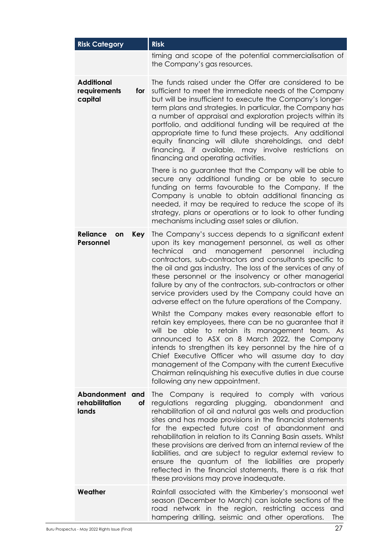| <b>Risk Category</b>                                | <b>Risk</b>                                                                                                                                                                                                                                                                                                                                                                                                                                                                                                                                                                                                                                      |
|-----------------------------------------------------|--------------------------------------------------------------------------------------------------------------------------------------------------------------------------------------------------------------------------------------------------------------------------------------------------------------------------------------------------------------------------------------------------------------------------------------------------------------------------------------------------------------------------------------------------------------------------------------------------------------------------------------------------|
|                                                     | timing and scope of the potential commercialisation of<br>the Company's gas resources.                                                                                                                                                                                                                                                                                                                                                                                                                                                                                                                                                           |
| <b>Additional</b><br>requirements<br>for<br>capital | The funds raised under the Offer are considered to be<br>sufficient to meet the immediate needs of the Company<br>but will be insufficient to execute the Company's longer-<br>term plans and strategies. In particular, the Company has<br>a number of appraisal and exploration projects within its<br>portfolio, and additional funding will be required at the<br>appropriate time to fund these projects. Any additional<br>equity financing will dilute shareholdings, and debt<br>financing, if available, may involve restrictions on<br>financing and operating activities.                                                             |
|                                                     | There is no guarantee that the Company will be able to<br>secure any additional funding or be able to secure<br>funding on terms favourable to the Company. If the<br>Company is unable to obtain additional financing as<br>needed, it may be required to reduce the scope of its<br>strategy, plans or operations or to look to other funding<br>mechanisms including asset sales or dilution.                                                                                                                                                                                                                                                 |
| <b>Reliance</b><br><b>Key</b><br>on<br>Personnel    | The Company's success depends to a significant extent<br>upon its key management personnel, as well as other<br>technical<br>and<br>management<br>personnel<br>including<br>contractors, sub-contractors and consultants specific to<br>the oil and gas industry. The loss of the services of any of<br>these personnel or the insolvency or other managerial<br>failure by any of the contractors, sub-contractors or other<br>service providers used by the Company could have an<br>adverse effect on the future operations of the Company.                                                                                                   |
|                                                     | Whilst the Company makes every reasonable effort to<br>retain key employees, there can be no guarantee that it<br>will be able to retain its management team. As<br>announced to ASX on 8 March 2022, the Company<br>intends to strengthen its key personnel by the hire of a<br>Chief Executive Officer who will assume day to day<br>management of the Company with the current Executive<br>Chairman relinquishing his executive duties in due course<br>following any new appointment.                                                                                                                                                       |
| Abandonment<br>and<br>rehabilitation<br>of<br>lands | The Company is required to comply with various<br>regulations regarding plugging, abandonment<br>and<br>rehabilitation of oil and natural gas wells and production<br>sites and has made provisions in the financial statements<br>for the expected future cost of abandonment and<br>rehabilitation in relation to its Canning Basin assets. Whilst<br>these provisions are derived from an internal review of the<br>liabilities, and are subject to regular external review to<br>ensure the quantum of the liabilities are properly<br>reflected in the financial statements, there is a risk that<br>these provisions may prove inadequate. |
| Weather                                             | Rainfall associated with the Kimberley's monsoonal wet<br>season (December to March) can isolate sections of the<br>road network in the region, restricting access<br>and<br>hampering drilling, seismic and other operations.<br>The                                                                                                                                                                                                                                                                                                                                                                                                            |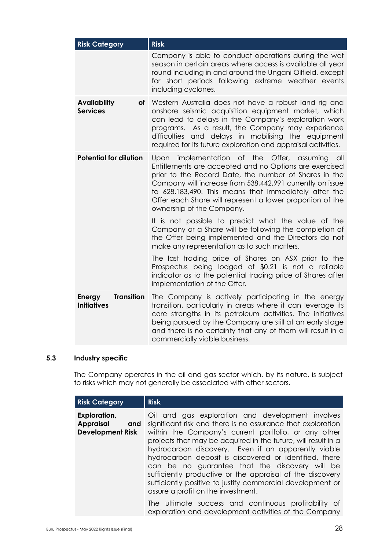| <b>Risk Category</b>                                     | <b>Risk</b>                                                                                                                                                                                                                                                                                                                                                                             |
|----------------------------------------------------------|-----------------------------------------------------------------------------------------------------------------------------------------------------------------------------------------------------------------------------------------------------------------------------------------------------------------------------------------------------------------------------------------|
|                                                          | Company is able to conduct operations during the wet<br>season in certain areas where access is available all year<br>round including in and around the Ungani Oilfield, except<br>for short periods following extreme weather events<br>including cyclones.                                                                                                                            |
| <b>Availability</b><br>οf<br><b>Services</b>             | Western Australia does not have a robust land rig and<br>onshore seismic acquisition equipment market, which<br>can lead to delays in the Company's exploration work<br>programs. As a result, the Company may experience<br>difficulties and delays in mobilising the equipment<br>required for its future exploration and appraisal activities.                                       |
| <b>Potential for dilution</b>                            | implementation of the Offer, assuming<br>Upon<br>all<br>Entitlements are accepted and no Options are exercised<br>prior to the Record Date, the number of Shares in the<br>Company will increase from 538,442,991 currently on issue<br>to 628,183,490. This means that immediately after the<br>Offer each Share will represent a lower proportion of the<br>ownership of the Company. |
|                                                          | It is not possible to predict what the value of the<br>Company or a Share will be following the completion of<br>the Offer being implemented and the Directors do not<br>make any representation as to such matters.                                                                                                                                                                    |
|                                                          | The last trading price of Shares on ASX prior to the<br>Prospectus being lodged of \$0.21 is not a reliable<br>indicator as to the potential trading price of Shares after<br>implementation of the Offer.                                                                                                                                                                              |
| <b>Transition</b><br><b>Energy</b><br><b>Initiatives</b> | The Company is actively participating in the energy<br>transition, particularly in areas where it can leverage its<br>core strengths in its petroleum activities. The initiatives<br>being pursued by the Company are still at an early stage<br>and there is no certainty that any of them will result in a<br>commercially viable business.                                           |

# **5.3 Industry specific**

The Company operates in the oil and gas sector which, by its nature, is subject to risks which may not generally be associated with other sectors.

| <b>Risk Category</b>                                               | <b>Risk</b>                                                                                                                                                                                                                                                                                                                                                                                                                                                                                                                                                                  |
|--------------------------------------------------------------------|------------------------------------------------------------------------------------------------------------------------------------------------------------------------------------------------------------------------------------------------------------------------------------------------------------------------------------------------------------------------------------------------------------------------------------------------------------------------------------------------------------------------------------------------------------------------------|
| Exploration,<br><b>Appraisal</b><br>and<br><b>Development Risk</b> | Oil and gas exploration and development involves<br>significant risk and there is no assurance that exploration<br>within the Company's current portfolio, or any other<br>projects that may be acquired in the future, will result in a<br>hydrocarbon discovery. Even if an apparently viable<br>hydrocarbon deposit is discovered or identified, there<br>can be no guarantee that the discovery will be<br>sufficiently productive or the appraisal of the discovery<br>sufficiently positive to justify commercial development or<br>assure a profit on the investment. |
|                                                                    | The ultimate success and continuous profitability of<br>exploration and development activities of the Company                                                                                                                                                                                                                                                                                                                                                                                                                                                                |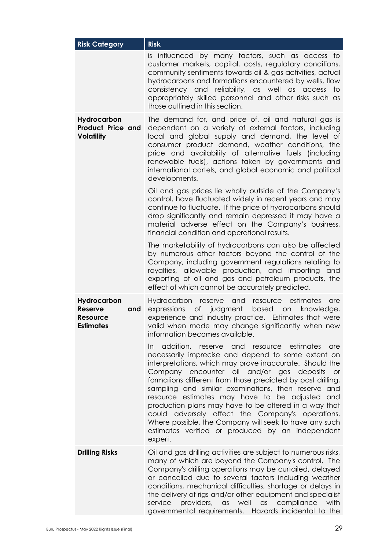| <b>Risk Category</b>                                                 | <b>Risk</b>                                                                                                                                                                                                                                                                                                                                                                                                                                                                                                                                                                                                                          |
|----------------------------------------------------------------------|--------------------------------------------------------------------------------------------------------------------------------------------------------------------------------------------------------------------------------------------------------------------------------------------------------------------------------------------------------------------------------------------------------------------------------------------------------------------------------------------------------------------------------------------------------------------------------------------------------------------------------------|
|                                                                      | is influenced by many factors, such as access to<br>customer markets, capital, costs, regulatory conditions,<br>community sentiments towards oil & gas activities, actual<br>hydrocarbons and formations encountered by wells, flow<br>consistency and reliability, as well as access to<br>appropriately skilled personnel and other risks such as<br>those outlined in this section.                                                                                                                                                                                                                                               |
| Hydrocarbon<br><b>Product Price and</b><br><b>Volatility</b>         | The demand for, and price of, oil and natural gas is<br>dependent on a variety of external factors, including<br>local and global supply and demand, the level of<br>consumer product demand, weather conditions, the<br>price and availability of alternative fuels (including<br>renewable fuels), actions taken by governments and<br>international cartels, and global economic and political<br>developments.                                                                                                                                                                                                                   |
|                                                                      | Oil and gas prices lie wholly outside of the Company's<br>control, have fluctuated widely in recent years and may<br>continue to fluctuate. If the price of hydrocarbons should<br>drop significantly and remain depressed it may have a<br>material adverse effect on the Company's business,<br>financial condition and operational results.                                                                                                                                                                                                                                                                                       |
|                                                                      | The marketability of hydrocarbons can also be affected<br>by numerous other factors beyond the control of the<br>Company, including government regulations relating to<br>royalties, allowable production, and importing and<br>exporting of oil and gas and petroleum products, the<br>effect of which cannot be accurately predicted.                                                                                                                                                                                                                                                                                              |
| Hydrocarbon<br><b>Reserve</b><br>and<br>Resource<br><b>Estimates</b> | estimates<br>Hydrocarbon reserve and<br>resource<br>are<br>of judgment<br>based<br>expressions<br>knowledge,<br>on on<br>experience and industry practice. Estimates that were<br>valid when made may change significantly when new<br>information becomes available.                                                                                                                                                                                                                                                                                                                                                                |
|                                                                      | addition, reserve and resource estimates are<br>In<br>necessarily imprecise and depend to some extent on<br>interpretations, which may prove inaccurate. Should the<br>Company encounter oil and/or gas deposits or<br>formations different from those predicted by past drilling,<br>sampling and similar examinations, then reserve and<br>resource estimates may have to be adjusted<br>and<br>production plans may have to be altered in a way that<br>could adversely affect the Company's operations.<br>Where possible, the Company will seek to have any such<br>estimates verified or produced by an independent<br>expert. |
| <b>Drilling Risks</b>                                                | Oil and gas drilling activities are subject to numerous risks,<br>many of which are beyond the Company's control. The<br>Company's drilling operations may be curtailed, delayed<br>or cancelled due to several factors including weather<br>conditions, mechanical difficulties, shortage or delays in<br>the delivery of rigs and/or other equipment and specialist<br>providers, as well as compliance<br>service<br>with<br>governmental requirements. Hazards incidental to the                                                                                                                                                 |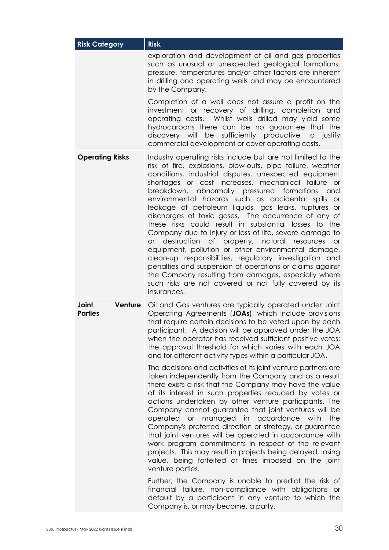| <b>Risk Category</b>               | <b>Risk</b>                                                                                                                                                                                                                                                                                                                                                                                                                                                                                                                                                                                                                                                                                                                                                                                                                                                                                                                                                                                                                                                                                                                                                                                                                |
|------------------------------------|----------------------------------------------------------------------------------------------------------------------------------------------------------------------------------------------------------------------------------------------------------------------------------------------------------------------------------------------------------------------------------------------------------------------------------------------------------------------------------------------------------------------------------------------------------------------------------------------------------------------------------------------------------------------------------------------------------------------------------------------------------------------------------------------------------------------------------------------------------------------------------------------------------------------------------------------------------------------------------------------------------------------------------------------------------------------------------------------------------------------------------------------------------------------------------------------------------------------------|
|                                    | exploration and development of oil and gas properties<br>such as unusual or unexpected geological formations,<br>pressure, temperatures and/or other factors are inherent<br>in drilling and operating wells and may be encountered<br>by the Company.                                                                                                                                                                                                                                                                                                                                                                                                                                                                                                                                                                                                                                                                                                                                                                                                                                                                                                                                                                     |
|                                    | Completion of a well does not assure a profit on the<br>investment or recovery of drilling, completion and<br>operating costs. Whilst wells drilled may yield some<br>hydrocarbons there can be no guarantee that the<br>discovery will be sufficiently productive to justify<br>commercial development or cover operating costs.                                                                                                                                                                                                                                                                                                                                                                                                                                                                                                                                                                                                                                                                                                                                                                                                                                                                                          |
| <b>Operating Risks</b>             | Industry operating risks include but are not limited to the<br>risk of fire, explosions, blow-outs, pipe failure, weather<br>conditions, industrial disputes, unexpected equipment<br>shortages or cost increases, mechanical failure or<br>breakdown, abnormally pressured formations<br>and<br>environmental hazards such as accidental spills or<br>leakage of petroleum liquids, gas leaks, ruptures or<br>discharges of toxic gases. The occurrence of any of<br>these risks could result in substantial losses to the<br>Company due to injury or loss of life, severe damage to<br>or destruction of property, natural resources<br>$\overline{or}$<br>equipment, pollution or other environmental damage,<br>clean-up responsibilities, regulatory investigation and<br>penalties and suspension of operations or claims against<br>the Company resulting from damages, especially where<br>such risks are not covered or not fully covered by its<br>insurances.                                                                                                                                                                                                                                                  |
| Joint<br>Venture<br><b>Parties</b> | Oil and Gas ventures are typically operated under Joint<br>Operating Agreements (JOAs), which include provisions<br>that require certain decisions to be voted upon by each<br>participant. A decision will be approved under the JOA<br>when the operator has received sufficient positive votes;<br>the approval threshold for which varies with each JOA<br>and for different activity types within a particular JOA.<br>The decisions and activities of its joint venture partners are<br>taken independently from the Company and as a result<br>there exists a risk that the Company may have the value<br>of its interest in such properties reduced by votes or<br>actions undertaken by other venture participants. The<br>Company cannot guarantee that joint ventures will be<br>operated or managed in accordance with<br>the<br>Company's preferred direction or strategy, or guarantee<br>that joint ventures will be operated in accordance with<br>work program commitments in respect of the relevant<br>projects. This may result in projects being delayed, losing<br>value, being forfeited or fines imposed on the joint<br>venture parties.<br>Further, the Company is unable to predict the risk of |
|                                    | financial failure, non-compliance with obligations or<br>default by a participant in any venture to which the<br>Company is, or may become, a party.                                                                                                                                                                                                                                                                                                                                                                                                                                                                                                                                                                                                                                                                                                                                                                                                                                                                                                                                                                                                                                                                       |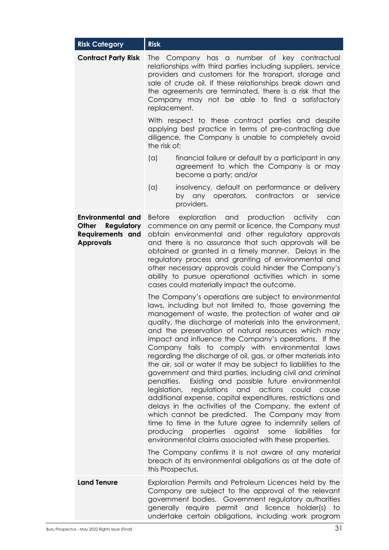| <b>Risk Category</b>                                                                                  | <b>Risk</b>                |                                                                                                                                                                                                                                                                                                                                                                                                                                                                                                                                                                                                                                                                                                                                                                                                                                                                                                                                                                                                                                                                    |
|-------------------------------------------------------------------------------------------------------|----------------------------|--------------------------------------------------------------------------------------------------------------------------------------------------------------------------------------------------------------------------------------------------------------------------------------------------------------------------------------------------------------------------------------------------------------------------------------------------------------------------------------------------------------------------------------------------------------------------------------------------------------------------------------------------------------------------------------------------------------------------------------------------------------------------------------------------------------------------------------------------------------------------------------------------------------------------------------------------------------------------------------------------------------------------------------------------------------------|
| <b>Contract Party Risk</b>                                                                            | replacement.               | The Company has a number of key contractual<br>relationships with third parties including suppliers, service<br>providers and customers for the transport, storage and<br>sale of crude oil. If these relationships break down and<br>the agreements are terminated, there is a risk that the<br>Company may not be able to find a satisfactory                                                                                                                                                                                                                                                                                                                                                                                                                                                                                                                                                                                                                                                                                                                    |
|                                                                                                       | the risk of:               | With respect to these contract parties and despite<br>applying best practice in terms of pre-contracting due<br>diligence, the Company is unable to completely avoid                                                                                                                                                                                                                                                                                                                                                                                                                                                                                                                                                                                                                                                                                                                                                                                                                                                                                               |
|                                                                                                       | (a)                        | financial failure or default by a participant in any<br>agreement to which the Company is or may<br>become a party; and/or                                                                                                                                                                                                                                                                                                                                                                                                                                                                                                                                                                                                                                                                                                                                                                                                                                                                                                                                         |
|                                                                                                       | (a)                        | insolvency, default on performance or delivery<br>by any operators, contractors<br>or<br>service<br>providers.                                                                                                                                                                                                                                                                                                                                                                                                                                                                                                                                                                                                                                                                                                                                                                                                                                                                                                                                                     |
| <b>Environmental and</b><br>Other<br><b>Regulatory</b><br><b>Requirements and</b><br><b>Approvals</b> |                            | Before exploration and production activity<br>can<br>commence on any permit or licence, the Company must<br>obtain environmental and other regulatory approvals<br>and there is no assurance that such approvals will be<br>obtained or granted in a timely manner. Delays in the<br>regulatory process and granting of environmental and<br>other necessary approvals could hinder the Company's<br>ability to pursue operational activities which in some<br>cases could materially impact the outcome.                                                                                                                                                                                                                                                                                                                                                                                                                                                                                                                                                          |
|                                                                                                       | penalties.<br>legislation, | The Company's operations are subject to environmental<br>laws, including but not limited to, those governing the<br>management of waste, the protection of water and air<br>quality, the discharge of materials into the environment,<br>and the preservation of natural resources which may<br>impact and influence the Company's operations. If the<br>Company fails to comply with environmental laws<br>regarding the discharge of oil, gas, or other materials into<br>the air, soil or water it may be subject to liabilities to the<br>government and third parties, including civil and criminal<br>Existing and possible future environmental<br>regulations and<br>actions<br>could<br>cause<br>additional expense, capital expenditures, restrictions and<br>delays in the activities of the Company, the extent of<br>which cannot be predicted. The Company may from<br>time to time in the future agree to indemnify sellers of<br>producing properties against some<br>liabilities<br>for<br>environmental claims associated with these properties. |
|                                                                                                       | this Prospectus.           | The Company confirms it is not aware of any material<br>breach of its environmental obligations as at the date of                                                                                                                                                                                                                                                                                                                                                                                                                                                                                                                                                                                                                                                                                                                                                                                                                                                                                                                                                  |
| <b>Land Tenure</b>                                                                                    |                            | Exploration Permits and Petroleum Licences held by the<br>Company are subject to the approval of the relevant<br>government bodies. Government regulatory authorities<br>generally require permit and licence holder(s) to<br>undertake certain obligations, including work program                                                                                                                                                                                                                                                                                                                                                                                                                                                                                                                                                                                                                                                                                                                                                                                |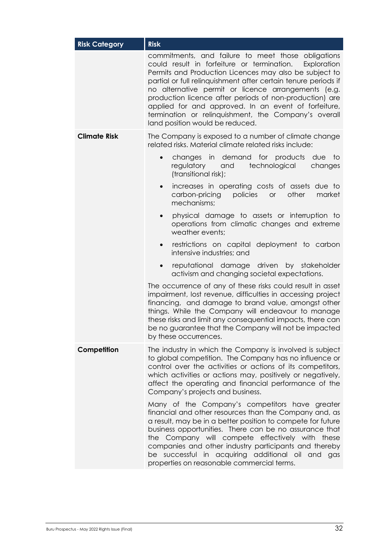| <b>Risk Category</b> | <b>Risk</b>                                                                                                                                                                                                                                                                                                                                                                                                                                                                                                      |
|----------------------|------------------------------------------------------------------------------------------------------------------------------------------------------------------------------------------------------------------------------------------------------------------------------------------------------------------------------------------------------------------------------------------------------------------------------------------------------------------------------------------------------------------|
|                      | commitments, and failure to meet those obligations<br>could result in forfeiture or termination.<br>Exploration<br>Permits and Production Licences may also be subject to<br>partial or full relinquishment after certain tenure periods if<br>no alternative permit or licence arrangements (e.g.<br>production licence after periods of non-production) are<br>applied for and approved. In an event of forfeiture,<br>termination or relinquishment, the Company's overall<br>land position would be reduced. |
| <b>Climate Risk</b>  | The Company is exposed to a number of climate change<br>related risks. Material climate related risks include:                                                                                                                                                                                                                                                                                                                                                                                                   |
|                      | changes in demand for products due<br>$\overline{1}$<br>$\bullet$<br>regulatory<br>technological<br>and<br>changes<br>(transitional risk);                                                                                                                                                                                                                                                                                                                                                                       |
|                      | increases in operating costs of assets due to<br>$\bullet$<br>other<br>carbon-pricing<br>policies<br>or<br>market<br>mechanisms;                                                                                                                                                                                                                                                                                                                                                                                 |
|                      | physical damage to assets or interruption to<br>operations from climatic changes and extreme<br>weather events;                                                                                                                                                                                                                                                                                                                                                                                                  |
|                      | restrictions on capital deployment to carbon<br>$\bullet$<br>intensive industries; and                                                                                                                                                                                                                                                                                                                                                                                                                           |
|                      | reputational damage driven by stakeholder<br>$\bullet$<br>activism and changing societal expectations.                                                                                                                                                                                                                                                                                                                                                                                                           |
|                      | The occurrence of any of these risks could result in asset<br>impairment, lost revenue, difficulties in accessing project<br>financing, and damage to brand value, amongst other<br>things. While the Company will endeavour to manage<br>these risks and limit any consequential impacts, there can<br>be no guarantee that the Company will not be impacted<br>by these occurrences.                                                                                                                           |
| Competition          | The industry in which the Company is involved is subject<br>to global competition. The Company has no influence or<br>control over the activities or actions of its competitors,<br>which activities or actions may, positively or negatively,<br>affect the operating and financial performance of the<br>Company's projects and business.                                                                                                                                                                      |
|                      | Many of the Company's competitors have greater<br>financial and other resources than the Company and, as<br>a result, may be in a better position to compete for future<br>business opportunities. There can be no assurance that<br>the Company will compete effectively with these<br>companies and other industry participants and thereby<br>be successful in acquiring additional oil and gas<br>properties on reasonable commercial terms.                                                                 |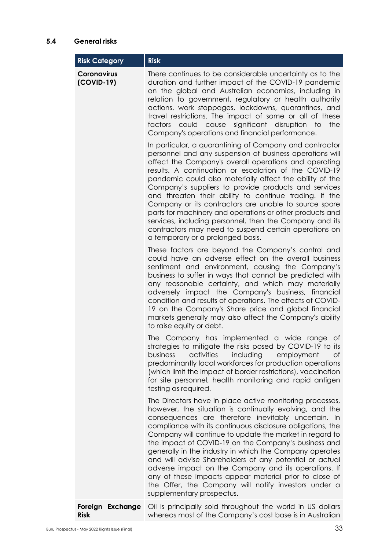## **5.4 General risks**

| <b>Risk Category</b>               | <b>Risk</b>                                                                                                                                                                                                                                                                                                                                                                                                                                                                                                                                                                                                                                                                                       |
|------------------------------------|---------------------------------------------------------------------------------------------------------------------------------------------------------------------------------------------------------------------------------------------------------------------------------------------------------------------------------------------------------------------------------------------------------------------------------------------------------------------------------------------------------------------------------------------------------------------------------------------------------------------------------------------------------------------------------------------------|
| <b>Coronavirus</b><br>$(COVID-19)$ | There continues to be considerable uncertainty as to the<br>duration and further impact of the COVID-19 pandemic<br>on the global and Australian economies, including in<br>relation to government, regulatory or health authority<br>actions, work stoppages, lockdowns, quarantines, and<br>travel restrictions. The impact of some or all of these<br>factors could cause significant disruption to<br>the<br>Company's operations and financial performance.                                                                                                                                                                                                                                  |
|                                    | In particular, a quarantining of Company and contractor<br>personnel and any suspension of business operations will<br>affect the Company's overall operations and operating<br>results. A continuation or escalation of the COVID-19<br>pandemic could also materially affect the ability of the<br>Company's suppliers to provide products and services<br>and threaten their ability to continue trading. If the<br>Company or its contractors are unable to source spare<br>parts for machinery and operations or other products and<br>services, including personnel, then the Company and its<br>contractors may need to suspend certain operations on<br>a temporary or a prolonged basis. |
|                                    | These factors are beyond the Company's control and<br>could have an adverse effect on the overall business<br>sentiment and environment, causing the Company's<br>business to suffer in ways that cannot be predicted with<br>any reasonable certainty, and which may materially<br>adversely impact the Company's business, financial<br>condition and results of operations. The effects of COVID-<br>19 on the Company's Share price and global financial<br>markets generally may also affect the Company's ability<br>to raise equity or debt.                                                                                                                                               |
|                                    | The Company has implemented a wide range of<br>strategies to mitigate the risks posed by COVID-19 to its<br>activities including<br>employment of<br>business<br>predominantly local workforces for production operations<br>(which limit the impact of border restrictions), vaccination<br>for site personnel, health monitoring and rapid antigen<br>testing as required.                                                                                                                                                                                                                                                                                                                      |
|                                    | The Directors have in place active monitoring processes,<br>however, the situation is continually evolving, and the<br>consequences are therefore inevitably uncertain. In<br>compliance with its continuous disclosure obligations, the<br>Company will continue to update the market in regard to<br>the impact of COVID-19 on the Company's business and<br>generally in the industry in which the Company operates<br>and will advise Shareholders of any potential or actual<br>adverse impact on the Company and its operations. If<br>any of these impacts appear material prior to close of<br>the Offer, the Company will notify investors under a<br>supplementary prospectus.          |
| Foreign Exchange<br><b>Risk</b>    | Oil is principally sold throughout the world in US dollars<br>whereas most of the Company's cost base is in Australian                                                                                                                                                                                                                                                                                                                                                                                                                                                                                                                                                                            |

Buru Prospectus - May 2022 Rights Issue (Final) 33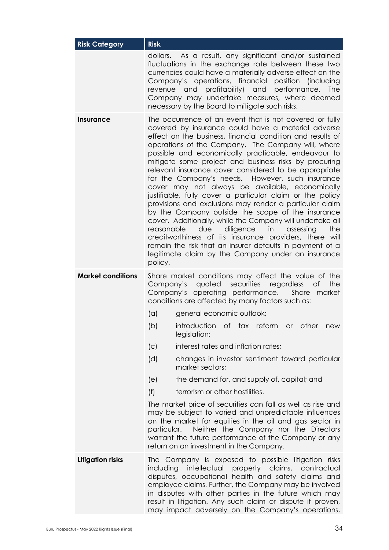| <b>Risk Category</b>     | <b>Risk</b>                                                                                                                                                                                                                                                                                                                                                                                                                                                                                                                                                                                                                                                                                                                                                                                                                                                                                                                                                                                                  |                                                                                                                                                                                                                                                                                                                                                                                                  |  |
|--------------------------|--------------------------------------------------------------------------------------------------------------------------------------------------------------------------------------------------------------------------------------------------------------------------------------------------------------------------------------------------------------------------------------------------------------------------------------------------------------------------------------------------------------------------------------------------------------------------------------------------------------------------------------------------------------------------------------------------------------------------------------------------------------------------------------------------------------------------------------------------------------------------------------------------------------------------------------------------------------------------------------------------------------|--------------------------------------------------------------------------------------------------------------------------------------------------------------------------------------------------------------------------------------------------------------------------------------------------------------------------------------------------------------------------------------------------|--|
|                          | dollars.                                                                                                                                                                                                                                                                                                                                                                                                                                                                                                                                                                                                                                                                                                                                                                                                                                                                                                                                                                                                     | As a result, any significant and/or sustained<br>fluctuations in the exchange rate between these two<br>currencies could have a materially adverse effect on the<br>Company's operations, financial position (including<br>revenue and profitability) and<br>performance.<br><b>The</b><br>Company may undertake measures, where deemed<br>necessary by the Board to mitigate such risks.        |  |
| Insurance                | The occurrence of an event that is not covered or fully<br>covered by insurance could have a material adverse<br>effect on the business, financial condition and results of<br>operations of the Company. The Company will, where<br>possible and economically practicable, endeavour to<br>mitigate some project and business risks by procuring<br>relevant insurance cover considered to be appropriate<br>for the Company's needs. However, such insurance<br>cover may not always be available, economically<br>justifiable, fully cover a particular claim or the policy<br>provisions and exclusions may render a particular claim<br>by the Company outside the scope of the insurance<br>cover. Additionally, while the Company will undertake all<br>reasonable<br>due<br>diligence in<br>assessing<br>the<br>creditworthiness of its insurance providers, there will<br>remain the risk that an insurer defaults in payment of a<br>legitimate claim by the Company under an insurance<br>policy. |                                                                                                                                                                                                                                                                                                                                                                                                  |  |
| <b>Market conditions</b> | Share market conditions may affect the value of the<br>securities regardless<br>the<br>Company's quoted<br><b>of</b><br>Company's operating performance.<br>Share<br>market<br>conditions are affected by many factors such as:                                                                                                                                                                                                                                                                                                                                                                                                                                                                                                                                                                                                                                                                                                                                                                              |                                                                                                                                                                                                                                                                                                                                                                                                  |  |
|                          | (a)                                                                                                                                                                                                                                                                                                                                                                                                                                                                                                                                                                                                                                                                                                                                                                                                                                                                                                                                                                                                          | general economic outlook;                                                                                                                                                                                                                                                                                                                                                                        |  |
|                          | (b)                                                                                                                                                                                                                                                                                                                                                                                                                                                                                                                                                                                                                                                                                                                                                                                                                                                                                                                                                                                                          | introduction of tax reform<br>other<br><b>or</b><br>new<br>legislation;                                                                                                                                                                                                                                                                                                                          |  |
|                          | (C)                                                                                                                                                                                                                                                                                                                                                                                                                                                                                                                                                                                                                                                                                                                                                                                                                                                                                                                                                                                                          | interest rates and inflation rates;                                                                                                                                                                                                                                                                                                                                                              |  |
|                          | (d)                                                                                                                                                                                                                                                                                                                                                                                                                                                                                                                                                                                                                                                                                                                                                                                                                                                                                                                                                                                                          | changes in investor sentiment toward particular<br>market sectors;                                                                                                                                                                                                                                                                                                                               |  |
|                          | (e)                                                                                                                                                                                                                                                                                                                                                                                                                                                                                                                                                                                                                                                                                                                                                                                                                                                                                                                                                                                                          | the demand for, and supply of, capital; and                                                                                                                                                                                                                                                                                                                                                      |  |
|                          | (f)                                                                                                                                                                                                                                                                                                                                                                                                                                                                                                                                                                                                                                                                                                                                                                                                                                                                                                                                                                                                          | terrorism or other hostilities.                                                                                                                                                                                                                                                                                                                                                                  |  |
|                          | The market price of securities can fall as well as rise and<br>may be subject to varied and unpredictable influences<br>on the market for equities in the oil and gas sector in<br>Neither the Company nor the Directors<br>particular.<br>warrant the future performance of the Company or any<br>return on an investment in the Company.                                                                                                                                                                                                                                                                                                                                                                                                                                                                                                                                                                                                                                                                   |                                                                                                                                                                                                                                                                                                                                                                                                  |  |
| <b>Litigation risks</b>  | including                                                                                                                                                                                                                                                                                                                                                                                                                                                                                                                                                                                                                                                                                                                                                                                                                                                                                                                                                                                                    | The Company is exposed to possible litigation risks<br>intellectual property claims,<br>contractual<br>disputes, occupational health and safety claims and<br>employee claims. Further, the Company may be involved<br>in disputes with other parties in the future which may<br>result in litigation. Any such claim or dispute if proven,<br>may impact adversely on the Company's operations, |  |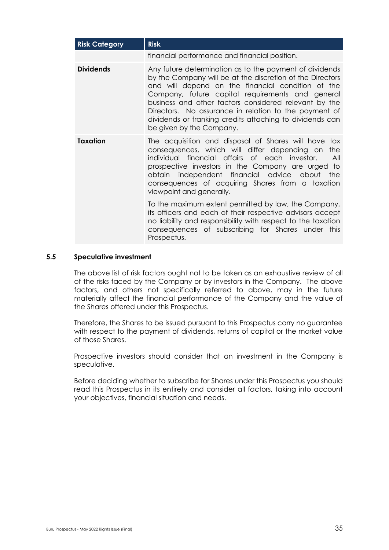| <b>Risk Category</b> | <b>Risk</b>                                                                                                                                                                                                                                                                                                                                                                                                                             |  |  |
|----------------------|-----------------------------------------------------------------------------------------------------------------------------------------------------------------------------------------------------------------------------------------------------------------------------------------------------------------------------------------------------------------------------------------------------------------------------------------|--|--|
|                      | financial performance and financial position.                                                                                                                                                                                                                                                                                                                                                                                           |  |  |
| <b>Dividends</b>     | Any future determination as to the payment of dividends<br>by the Company will be at the discretion of the Directors<br>and will depend on the financial condition of the<br>Company, future capital requirements and general<br>business and other factors considered relevant by the<br>Directors. No assurance in relation to the payment of<br>dividends or franking credits attaching to dividends can<br>be given by the Company. |  |  |
| <b>Taxation</b>      | The acquisition and disposal of Shares will have tax<br>consequences, which will differ depending on<br>the<br>individual financial affairs of each investor.<br>All<br>prospective investors in the Company are urged to<br>obtain independent financial advice<br>the<br>about<br>consequences of acquiring Shares from a taxation<br>viewpoint and generally.                                                                        |  |  |
|                      | To the maximum extent permitted by law, the Company,<br>its officers and each of their respective advisors accept<br>no liability and responsibility with respect to the taxation<br>consequences of subscribing for Shares under this<br>Prospectus.                                                                                                                                                                                   |  |  |

#### **5.5 Speculative investment**

The above list of risk factors ought not to be taken as an exhaustive review of all of the risks faced by the Company or by investors in the Company. The above factors, and others not specifically referred to above, may in the future materially affect the financial performance of the Company and the value of the Shares offered under this Prospectus.

Therefore, the Shares to be issued pursuant to this Prospectus carry no guarantee with respect to the payment of dividends, returns of capital or the market value of those Shares.

Prospective investors should consider that an investment in the Company is speculative.

Before deciding whether to subscribe for Shares under this Prospectus you should read this Prospectus in its entirety and consider all factors, taking into account your objectives, financial situation and needs.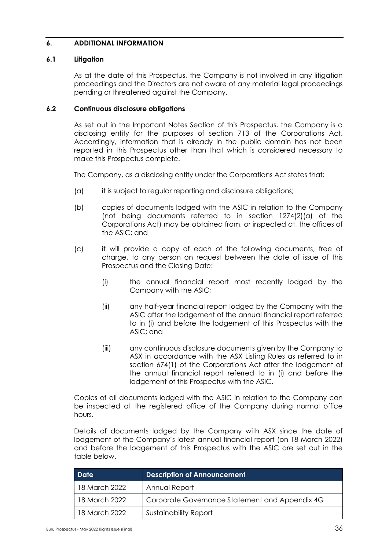### <span id="page-36-1"></span>**6. ADDITIONAL INFORMATION**

#### **6.1 Litigation**

As at the date of this Prospectus, the Company is not involved in any litigation proceedings and the Directors are not aware of any material legal proceedings pending or threatened against the Company.

### <span id="page-36-0"></span>**6.2 Continuous disclosure obligations**

As set out in the Important Notes Section of this Prospectus, the Company is a disclosing entity for the purposes of section 713 of the Corporations Act. Accordingly, information that is already in the public domain has not been reported in this Prospectus other than that which is considered necessary to make this Prospectus complete.

The Company, as a disclosing entity under the Corporations Act states that:

- (a) it is subject to regular reporting and disclosure obligations;
- (b) copies of documents lodged with the ASIC in relation to the Company (not being documents referred to in section 1274(2)(a) of the Corporations Act) may be obtained from, or inspected at, the offices of the ASIC; and
- (c) it will provide a copy of each of the following documents, free of charge, to any person on request between the date of issue of this Prospectus and the Closing Date:
	- (i) the annual financial report most recently lodged by the Company with the ASIC;
	- (ii) any half-year financial report lodged by the Company with the ASIC after the lodgement of the annual financial report referred to in (i) and before the lodgement of this Prospectus with the ASIC; and
	- (iii) any continuous disclosure documents given by the Company to ASX in accordance with the ASX Listing Rules as referred to in section 674(1) of the Corporations Act after the lodgement of the annual financial report referred to in (i) and before the lodgement of this Prospectus with the ASIC.

Copies of all documents lodged with the ASIC in relation to the Company can be inspected at the registered office of the Company during normal office hours.

Details of documents lodged by the Company with ASX since the date of lodgement of the Company's latest annual financial report (on 18 March 2022) and before the lodgement of this Prospectus with the ASIC are set out in the table below.

| <b>Date</b>   | <b>Description of Announcement</b>             |
|---------------|------------------------------------------------|
| 18 March 2022 | Annual Report                                  |
| 18 March 2022 | Corporate Governance Statement and Appendix 4G |
| 18 March 2022 | <b>Sustainability Report</b>                   |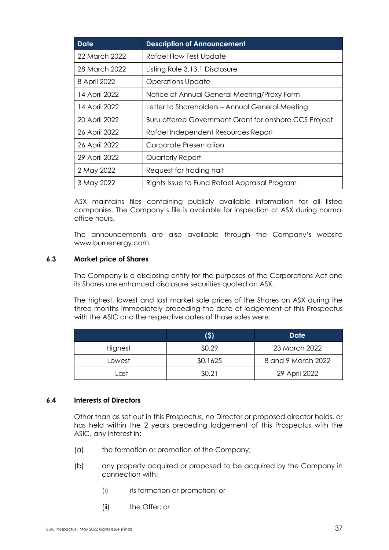| Date          | <b>Description of Announcement</b>                    |
|---------------|-------------------------------------------------------|
| 22 March 2022 | <b>Rafael Flow Test Update</b>                        |
| 28 March 2022 | Listing Rule 3.13.1 Disclosure                        |
| 8 April 2022  | <b>Operations Update</b>                              |
| 14 April 2022 | Notice of Annual General Meeting/Proxy Form           |
| 14 April 2022 | Letter to Shareholders - Annual General Meeting       |
| 20 April 2022 | Buru offered Government Grant for onshore CCS Project |
| 26 April 2022 | Rafael Independent Resources Report                   |
| 26 April 2022 | Corporate Presentation                                |
| 29 April 2022 | Quarterly Report                                      |
| 2 May 2022    | Request for trading halt                              |
| 3 May 2022    | Rights Issue to Fund Rafael Appraisal Program         |

ASX maintains files containing publicly available information for all listed companies. The Company's file is available for inspection at ASX during normal office hours.

The announcements are also available through the Company's website www.buruenergy.com.

#### **6.3 Market price of Shares**

The Company is a disclosing entity for the purposes of the Corporations Act and its Shares are enhanced disclosure securities quoted on ASX.

The highest, lowest and last market sale prices of the Shares on ASX during the three months immediately preceding the date of lodgement of this Prospectus with the ASIC and the respective dates of those sales were:

|         | (\$)     | <b>Date</b>        |
|---------|----------|--------------------|
| Highest | \$0.29   | 23 March 2022      |
| Lowest  | \$0.1625 | 8 and 9 March 2022 |
| Last    | \$0.21   | 29 April 2022      |

#### **6.4 Interests of Directors**

Other than as set out in this Prospectus, no Director or proposed director holds, or has held within the 2 years preceding lodgement of this Prospectus with the ASIC, any interest in:

- (a) the formation or promotion of the Company;
- (b) any property acquired or proposed to be acquired by the Company in connection with:
	- (i) its formation or promotion; or
	- (ii) the Offer; or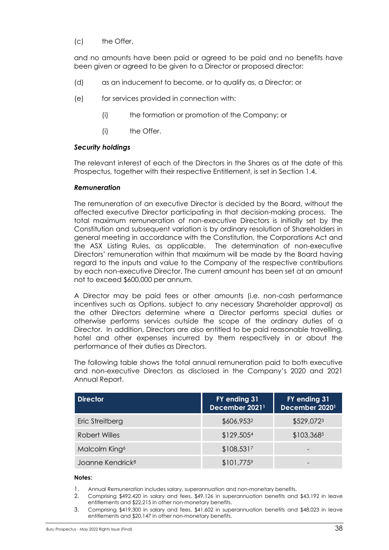### (c) the Offer,

and no amounts have been paid or agreed to be paid and no benefits have been given or agreed to be given to a Director or proposed director:

- (d) as an inducement to become, or to qualify as, a Director; or
- (e) for services provided in connection with:
	- (i) the formation or promotion of the Company; or
	- (i) the Offer.

### *Security holdings*

The relevant interest of each of the Directors in the Shares as at the date of this Prospectus, together with their respective Entitlement, is set in Section [1.4.](#page-6-0)

#### *Remuneration*

The remuneration of an executive Director is decided by the Board, without the affected executive Director participating in that decision-making process. The total maximum remuneration of non-executive Directors is initially set by the Constitution and subsequent variation is by ordinary resolution of Shareholders in general meeting in accordance with the Constitution, the Corporations Act and the ASX Listing Rules, as applicable. The determination of non-executive Directors' remuneration within that maximum will be made by the Board having regard to the inputs and value to the Company of the respective contributions by each non-executive Director. The current amount has been set at an amount not to exceed \$600,000 per annum.

A Director may be paid fees or other amounts (i.e. non-cash performance incentives such as Options, subject to any necessary Shareholder approval) as the other Directors determine where a Director performs special duties or otherwise performs services outside the scope of the ordinary duties of a Director. In addition, Directors are also entitled to be paid reasonable travelling, hotel and other expenses incurred by them respectively in or about the performance of their duties as Directors.

The following table shows the total annual remuneration paid to both executive and non-executive Directors as disclosed in the Company's 2020 and 2021 Annual Report.

| <b>Director</b>              | FY ending 31<br>December 2021 <sup>1</sup> | FY ending 31<br>December 20201 |
|------------------------------|--------------------------------------------|--------------------------------|
| Eric Streitberg              | \$606,9532                                 | \$529,0723                     |
| <b>Robert Willes</b>         | \$129,5054                                 | \$103,3685                     |
| Malcolm King <sup>6</sup>    | \$108,5317                                 |                                |
| Joanne Kendrick <sup>8</sup> | \$101,7759                                 |                                |

#### **Notes:**

- 1. Annual Remuneration includes salary, superannuation and non-monetary benefits.
- 2. Comprising \$492,420 in salary and fees, \$49,126 in superannuation benefits and \$43,192 in leave entitlements and \$22,215 in other non-monetary benefits.
- 3. Comprising \$419,300 in salary and fees, \$41,602 in superannuation benefits and \$48,023 in leave entitlements and \$20,147 in other non-monetary benefits.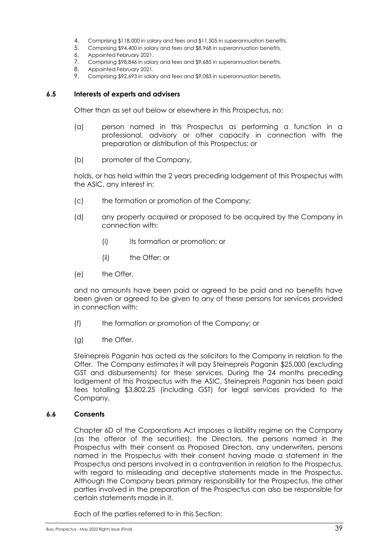- 4. Comprising \$118,000 in salary and fees and \$11,505 in superannuation benefits.
- 5. Comprising \$94,400 in salary and fees and \$8,968 in superannuation benefits.
- 6. Appointed February 2021.
- 7. Comprising \$98,846 in salary and fees and \$9,685 in superannuation benefits.
- 8. Appointed February 2021.
- 9. Comprising \$92,693 in salary and fees and \$9,083 in superannuation benefits.

#### **6.5 Interests of experts and advisers**

Other than as set out below or elsewhere in this Prospectus, no:

- (a) person named in this Prospectus as performing a function in a professional, advisory or other capacity in connection with the preparation or distribution of this Prospectus; or
- (b) promoter of the Company,

holds, or has held within the 2 years preceding lodgement of this Prospectus with the ASIC, any interest in:

- (c) the formation or promotion of the Company;
- (d) any property acquired or proposed to be acquired by the Company in connection with:
	- (i) its formation or promotion; or
	- (ii) the Offer; or
- (e) the Offer,

and no amounts have been paid or agreed to be paid and no benefits have been given or agreed to be given to any of these persons for services provided in connection with:

- (f) the formation or promotion of the Company; or
- (g) the Offer.

Steinepreis Paganin has acted as the solicitors to the Company in relation to the Offer. The Company estimates it will pay Steinepreis Paganin \$25,000 (excluding GST and disbursements) for these services. During the 24 months preceding lodgement of this Prospectus with the ASIC, Steinepreis Paganin has been paid fees totalling \$3,802.25 (including GST) for legal services provided to the Company.

#### **6.6 Consents**

Chapter 6D of the Corporations Act imposes a liability regime on the Company (as the offeror of the securities), the Directors, the persons named in the Prospectus with their consent as Proposed Directors, any underwriters, persons named in the Prospectus with their consent having made a statement in the Prospectus and persons involved in a contravention in relation to the Prospectus, with regard to misleading and deceptive statements made in the Prospectus. Although the Company bears primary responsibility for the Prospectus, the other parties involved in the preparation of the Prospectus can also be responsible for certain statements made in it.

Each of the parties referred to in this Section: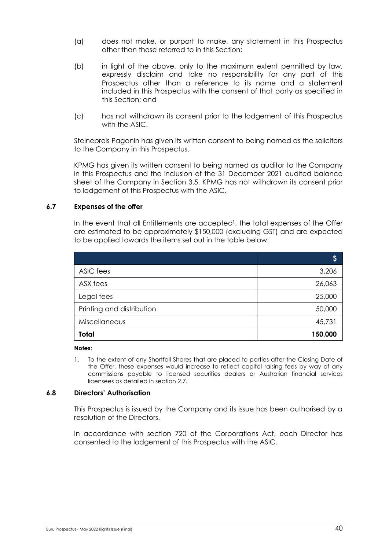- (a) does not make, or purport to make, any statement in this Prospectus other than those referred to in this Section;
- (b) in light of the above, only to the maximum extent permitted by law, expressly disclaim and take no responsibility for any part of this Prospectus other than a reference to its name and a statement included in this Prospectus with the consent of that party as specified in this Section; and
- (c) has not withdrawn its consent prior to the lodgement of this Prospectus with the ASIC.

Steinepreis Paganin has given its written consent to being named as the solicitors to the Company in this Prospectus.

KPMG has given its written consent to being named as auditor to the Company in this Prospectus and the inclusion of the 31 December 2021 audited balance sheet of the Company in Section [3.5.](#page-19-1) KPMG has not withdrawn its consent prior to lodgement of this Prospectus with the ASIC.

#### <span id="page-40-0"></span>**6.7 Expenses of the offer**

In the event that all Entitlements are accepted<sup>1</sup>, the total expenses of the Offer are estimated to be approximately \$150,000 (excluding GST) and are expected to be applied towards the items set out in the table below:

|                           | Ş       |
|---------------------------|---------|
| ASIC fees                 | 3,206   |
| ASX fees                  | 26,063  |
| Legal fees                | 25,000  |
| Printing and distribution | 50,000  |
| Miscellaneous             | 45,731  |
| Total                     | 150,000 |

**Notes:**

1. To the extent of any Shortfall Shares that are placed to parties after the Closing Date of the Offer, these expenses would increase to reflect capital raising fees by way of any commissions payable to licensed securities dealers or Australian financial services licensees as detailed in section 2.7.

#### **6.8 Directors' Authorisation**

This Prospectus is issued by the Company and its issue has been authorised by a resolution of the Directors.

In accordance with section 720 of the Corporations Act, each Director has consented to the lodgement of this Prospectus with the ASIC.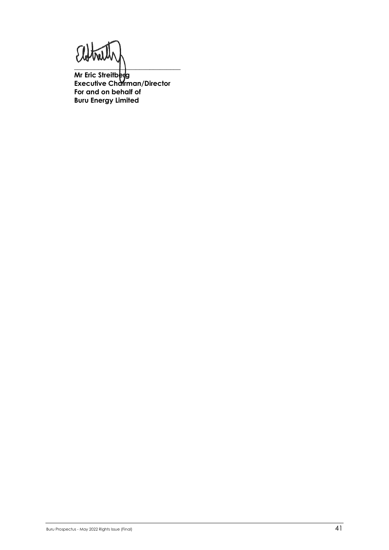$\Omega_{\!\scriptscriptstyle 4}$  $\tilde{\mathbf{M}}$ 

 $\overline{\phantom{a}}$  , and the set of  $\overline{\phantom{a}}$  , and the set of  $\overline{\phantom{a}}$ **Mr Eric Streitberg Executive Chairman/Director For and on behalf of Buru Energy Limited**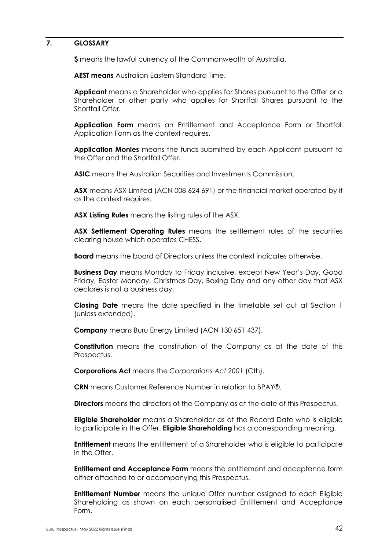#### <span id="page-42-0"></span>**7. GLOSSARY**

**\$** means the lawful currency of the Commonwealth of Australia.

**AEST means** Australian Eastern Standard Time.

**Applicant** means a Shareholder who applies for Shares pursuant to the Offer or a Shareholder or other party who applies for Shortfall Shares pursuant to the Shortfall Offer

**Application Form** means an Entitlement and Acceptance Form or Shortfall Application Form as the context requires.

**Application Monies** means the funds submitted by each Applicant pursuant to the Offer and the Shortfall Offer.

**ASIC** means the Australian Securities and Investments Commission.

**ASX** means ASX Limited (ACN 008 624 691) or the financial market operated by it as the context requires.

**ASX Listing Rules** means the listing rules of the ASX.

**ASX Settlement Operating Rules** means the settlement rules of the securities clearing house which operates CHESS.

**Board** means the board of Directors unless the context indicates otherwise.

**Business Day** means Monday to Friday inclusive, except New Year's Day, Good Friday, Easter Monday, Christmas Day, Boxing Day and any other day that ASX declares is not a business day.

**Closing Date** means the date specified in the timetable set out at Section 1 (unless extended).

**Company** means Buru Energy Limited (ACN 130 651 437).

**Constitution** means the constitution of the Company as at the date of this Prospectus.

**Corporations Act** means the *Corporations Act 2001* (Cth).

**CRN** means Customer Reference Number in relation to BPAY®.

**Directors** means the directors of the Company as at the date of this Prospectus.

**Eligible Shareholder** means a Shareholder as at the Record Date who is eligible to participate in the Offer. **Eligible Shareholding** has a corresponding meaning.

**Entitlement** means the entitlement of a Shareholder who is eligible to participate in the Offer.

**Entitlement and Acceptance Form** means the entitlement and acceptance form either attached to or accompanying this Prospectus.

**Entitlement Number** means the unique Offer number assigned to each Eligible Shareholding as shown on each personalised Entitlement and Acceptance Form.